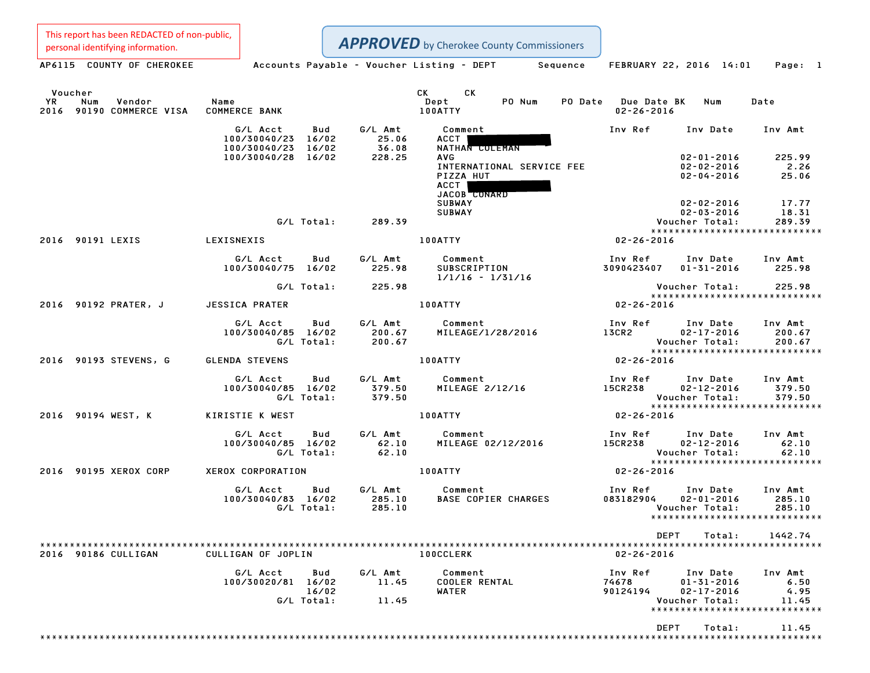This report has been REDACTED of non-public,<br>personal identifying information.

| personal identifying information.                          |                                                            |                           | <b>APPROVED</b> by Cherokee County Commissioners                                                                                                  |                                         |                                                                               |                                                              |
|------------------------------------------------------------|------------------------------------------------------------|---------------------------|---------------------------------------------------------------------------------------------------------------------------------------------------|-----------------------------------------|-------------------------------------------------------------------------------|--------------------------------------------------------------|
| AP6115 COUNTY OF CHEROKEE                                  | Accounts Payable – Voucher Listing – DEPT         Sequence |                           |                                                                                                                                                   |                                         | FEBRUARY 22, 2016 14:01                                                       | Page: 1                                                      |
| Voucher<br>YR<br>Num<br>Vendor<br>2016 90190 COMMERCE VISA | Name<br><b>COMMERCE BANK</b>                               |                           | CK<br>CK to the control of the control of the control of the control of the control of the control of the control of<br>PO Num<br>Dept<br>100ATTY | PO Date Due Date BK<br>$02 - 26 - 2016$ | Num                                                                           | Date                                                         |
|                                                            | G/L Acct<br><b>Bud</b><br>100/30040/23 16/02               | G/L Amt<br>25.06<br>36.08 | Comment<br>ACCT                                                                                                                                   | Inv Ref                                 | Inv Date                                                                      | Inv Amt                                                      |
|                                                            | 100/30040/23 16/02<br>100/30040/28 16/02                   | 228.25                    | NATHAN COLEMAN<br><b>AVG</b>                                                                                                                      |                                         | $02 - 01 - 2016$                                                              | 225.99                                                       |
|                                                            |                                                            |                           | INTERNATIONAL SERVICE FEE<br>PIZZA HUT<br>ACCT  <br>JACOB CONARD                                                                                  |                                         | $02 - 02 - 2016$<br>$02 - 04 - 2016$                                          | 2.26<br>25.06                                                |
|                                                            |                                                            |                           | <b>SUBWAY</b>                                                                                                                                     |                                         | 02-02-2016                                                                    | 17.77                                                        |
|                                                            | G/L Total:                                                 | 289.39                    | <b>SUBWAY</b>                                                                                                                                     |                                         | $02 - 03 - 2016$<br>Voucher Total:                                            | 18.31<br>289.39                                              |
|                                                            |                                                            |                           |                                                                                                                                                   |                                         |                                                                               | *****************************                                |
| 2016 90191 LEXIS                                           | LEXISNEXIS                                                 |                           | 100ATTY                                                                                                                                           | 02-26-2016                              |                                                                               |                                                              |
|                                                            | G/L Acct<br>Bud<br>100/30040/75 16/02                      | G/L Amt<br>225.98         | Comment<br>Comment<br>SUBSCRIPTION<br>J.J.C.C<br>$1/1/16 - 1/31/16$                                                                               | Inv Ref<br>3090423407                   | Inv Date Inv Amt<br>$01 - 31 - 2016$                                          | 225.98                                                       |
|                                                            | G/L Total:                                                 | 225.98                    |                                                                                                                                                   |                                         | Voucher Total:                                                                | 225.98                                                       |
| 2016 90192 PRATER, J                                       | JESSICA PRATER                                             |                           | <b>100ATTY</b>                                                                                                                                    | $02 - 26 - 2016$                        |                                                                               | *****************************                                |
|                                                            | G/L Acct<br>Bud                                            |                           | G/L Amt Comment                                                                                                                                   |                                         | Inv Ref      Inv Date    Inv Amt<br>13CR2            02-17-2016        200.67 |                                                              |
|                                                            | 100/30040/85 16/02<br>G/L Total:                           | 200.67<br>200.67          | MILEAGE/1/28/2016                                                                                                                                 |                                         | $02 - 17 - 2016$<br>Voucher Total:                                            | 200.67<br>200.67                                             |
|                                                            |                                                            |                           |                                                                                                                                                   |                                         |                                                                               | *****************************                                |
| 2016 90193 STEVENS, G                                      | <b>GLENDA STEVENS</b>                                      |                           | <b>100ATTY</b>                                                                                                                                    | $02 - 26 - 2016$                        |                                                                               |                                                              |
|                                                            | G/L Acct<br>100/30040/85 16/02<br>G/L Total:               | 379.50<br>379.50          | Bud G/L Amt Comment<br>MILEAGE 2/12/16                                                                                                            | <b>15CR238</b>                          | Inv Ref Inv Date Inv Amt<br>$02 - 12 - 2016$<br>Voucher Total:                | 379.50<br>379.50                                             |
| 2016 90194 WEST, K                                         | KIRISTIE K WEST                                            |                           | 100ATTY                                                                                                                                           | $02 - 26 - 2016$                        |                                                                               |                                                              |
|                                                            |                                                            |                           |                                                                                                                                                   |                                         |                                                                               |                                                              |
|                                                            | G/L Acct<br>Bud<br>100/30040/85 16/02<br>G/L Total:        | $62.10$<br>$62.10$        | G/L Amt Comment<br>MILEAGE 02/12/2016                                                                                                             | 15CR238                                 | Inv Ref     Inv Date<br>02-12-2016<br>Voucher Total:                          | Inv Amt<br>62.10<br>62.10<br>*****************************   |
| 2016 90195 XEROX CORP                                      | XEROX CORPORATION                                          |                           | <b>100ATTY</b>                                                                                                                                    | $02 - 26 - 2016$                        |                                                                               |                                                              |
|                                                            | G/L Acct<br>Bud<br>100/30040/83 16/02<br>G/L Total:        | 285.10<br>285.10          | G/L Amt Comment<br>285.10 BASE COPIER CHARGES                                                                                                     | Inv Ref<br>083182904                    | Inv Date<br>$02 - 01 - 2016$<br>Voucher Total:                                | Inv Amt<br>285.10<br>285.10<br>***************************** |
|                                                            |                                                            |                           |                                                                                                                                                   | DEPT                                    | Total:                                                                        | 1442.74                                                      |
| 2016 90186 CULLIGAN                                        | CULLIGAN OF JOPLIN                                         |                           | <b>100CCLERK</b>                                                                                                                                  | $02 - 26 - 2016$                        |                                                                               |                                                              |
|                                                            | G/L Acct<br>Bud                                            | G/L Amt                   | Comment                                                                                                                                           | Inv Ref                                 | Inv Date                                                                      | Inv Amt                                                      |
|                                                            | 100/30020/81 16/02                                         | 11.45                     | <b>COOLER RENTAL</b>                                                                                                                              | 74678                                   | $01 - 31 - 2016$                                                              | 6.50                                                         |
|                                                            | 16/02<br>G/L Total:                                        | 11.45                     | WATER                                                                                                                                             | 90124194                                | $02 - 17 - 2016$<br>Voucher Total:                                            | 4.95<br>11.45                                                |
|                                                            |                                                            |                           |                                                                                                                                                   |                                         |                                                                               | ******************************                               |
|                                                            |                                                            |                           |                                                                                                                                                   | DEPT                                    | Total:                                                                        | 11.45                                                        |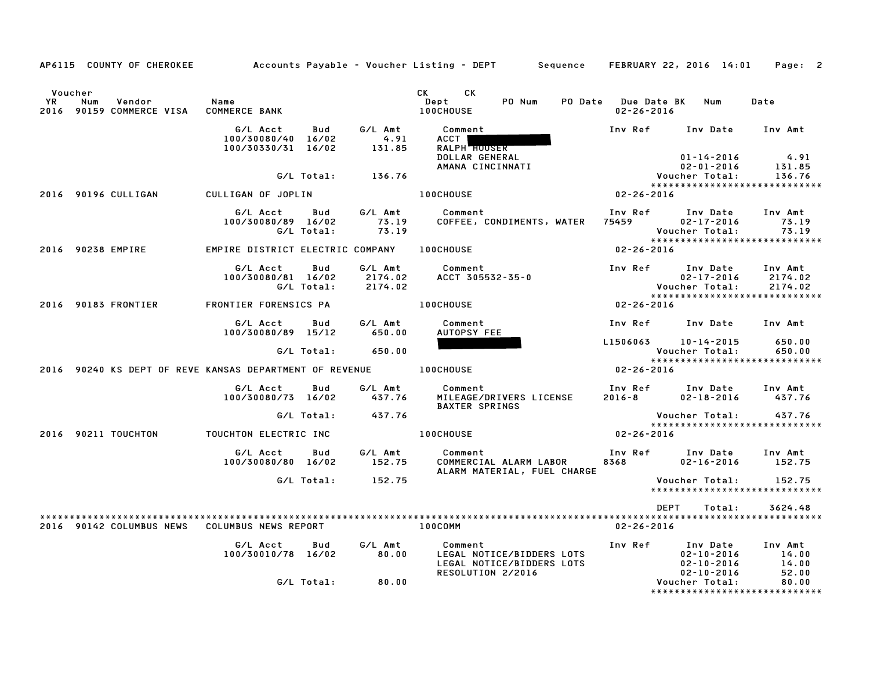|               |     | AP6115 COUNTY OF CHEROKEE          |                                                                      |                   |                               | Accounts Payable – Voucher Listing – DEPT       Sequence   FEBRUARY 22, 2016 14:01 |                                         |                                                                                 | Page: 2                       |
|---------------|-----|------------------------------------|----------------------------------------------------------------------|-------------------|-------------------------------|------------------------------------------------------------------------------------|-----------------------------------------|---------------------------------------------------------------------------------|-------------------------------|
| Voucher<br>YR | Num | Vendor<br>2016 90159 COMMERCE VISA | Name<br><b>COMMERCE BANK</b>                                         |                   |                               | CK<br>CK.<br>Dept<br>PO Num<br><b>100CHOUSE</b>                                    | PO Date Due Date BK<br>$02 - 26 - 2016$ | Num                                                                             | Date                          |
|               |     |                                    | G/L Acct<br>100/30080/40 16/02<br>100/30330/31 16/02                 | Bud               | G/L Amt<br>4.91<br>131.85     | Comment<br>ACCT<br>RALPH HOUSER                                                    | Inv Ref                                 | Inv Date                                                                        | Inv Amt                       |
|               |     |                                    |                                                                      |                   |                               | DOLLAR GENERAL<br>AMANA CINCINNATI                                                 |                                         | $01 - 14 - 2016$<br>$02 - 01 - 2016$                                            | 4.91<br>131.85                |
|               |     |                                    |                                                                      | G/L Total:        | 136.76                        |                                                                                    |                                         | Voucher Total:                                                                  | 136.76                        |
|               |     | 2016 90196 CULLIGAN                | CULLIGAN OF JOPLIN                                                   |                   |                               | <b>100CHOUSE</b>                                                                   | $02 - 26 - 2016$                        |                                                                                 |                               |
|               |     |                                    | G/L Acct<br>100/30080/89 16/02                                       | Bud<br>G/L Total: | G/L Amt<br>73.19<br>73.19     | Comment<br>COFFEE, CONDIMENTS, WATER 75459                                         | Inv Ref                                 | Inv Date<br>$02 - 17 - 2016$<br>Voucher Total:<br>***************************** | Inv Amt<br>73.19<br>73.19     |
|               |     | 2016 90238 EMPIRE                  | EMPIRE DISTRICT ELECTRIC COMPANY 100CHOUSE                           |                   |                               |                                                                                    | $02 - 26 - 2016$                        |                                                                                 |                               |
|               |     |                                    | G/L Acct<br>100/30080/81 16/02                                       | Bud<br>G/L Total: | G/L Amt<br>2174.02<br>2174.02 | Comment<br>ACCT 305532-35-0                                                        |                                         | Inv Ref Inv Date<br>$02 - 17 - 2016$<br>Voucher Total:                          | Inv Amt<br>2174.02<br>2174.02 |
|               |     | 2016 90183 FRONTIER                | FRONTIER FORENSICS PA                                                |                   |                               | <b>100CHOUSE</b>                                                                   | $02 - 26 - 2016$                        | *****************************                                                   |                               |
|               |     |                                    | G/L Acct<br>100/30080/89 15/12                                       | Bud               | G/L Amt<br>650.00             | Comment<br>AUTOPSY FEE                                                             |                                         | Inv Ref      Inv Date     Inv Amt                                               |                               |
|               |     |                                    |                                                                      | G/L Total:        | 650.00                        |                                                                                    | L1506063 10-14-2015                     | Voucher Total:                                                                  | 650.00<br>650.00              |
|               |     |                                    | 2016 90240 KS DEPT OF REVE KANSAS DEPARTMENT OF REVENUE TO LOOCHOUSE |                   |                               |                                                                                    | $02 - 26 - 2016$                        | *****************************                                                   |                               |
|               |     |                                    | G/L Acct<br>100/30080/73 16/02                                       | Bud               | G/L Amt<br>437.76             | Comment<br>MILEAGE/DRIVERS LICENSE<br><b>BAXTER SPRINGS</b>                        |                                         | Inv Ref Inv Date<br>2016–8 02–18–2016                                           | Inv Amt<br>437.76             |
|               |     |                                    |                                                                      | G/L Total:        | 437.76                        |                                                                                    |                                         | Voucher Total:                                                                  | 437.76                        |
|               |     | 2016 90211 TOUCHTON                | TOUCHTON ELECTRIC INC                                                |                   |                               | <b>100CHOUSE</b>                                                                   | $02 - 26 - 2016$                        | *****************************                                                   |                               |
|               |     |                                    | G/L Acct<br>100/30080/80 16/02                                       | Bud               | G/L Amt<br>152.75             | Comment<br>COMMERCIAL ALARM LABOR                                                  | 8368                                    | Inv Ref      Inv Date<br>$02 - 16 - 2016$                                       | Inv Amt<br>152.75             |
|               |     |                                    |                                                                      | G/L Total:        | 152.75                        | ALARM MATERIAL, FUEL CHARGE                                                        |                                         | Voucher Total:<br>*****************************                                 | 152.75                        |
|               |     | 2016 90142 COLUMBUS NEWS           | COLUMBUS NEWS REPORT                                                 |                   |                               | 100COMM                                                                            | DEPT<br>$02 - 26 - 2016$                | Total:                                                                          | 3624.48                       |
|               |     |                                    | G/L Acct<br>100/30010/78 16/02                                       | Bud               | G/L Amt<br>80.00              | Comment<br>LEGAL NOTICE/BIDDERS LOTS<br>LEGAL NOTICE/BIDDERS LOTS                  | Inv Ref                                 | Inv Date<br>$02 - 10 - 2016$<br>$02 - 10 - 2016$                                | Inv Amt<br>14.00<br>14.00     |
|               |     |                                    |                                                                      | G/L Total:        | 80.00                         | RESOLUTION 2/2016                                                                  |                                         | 02-10-2016<br>Voucher Total:<br>******************************                  | 52.00<br>80.00                |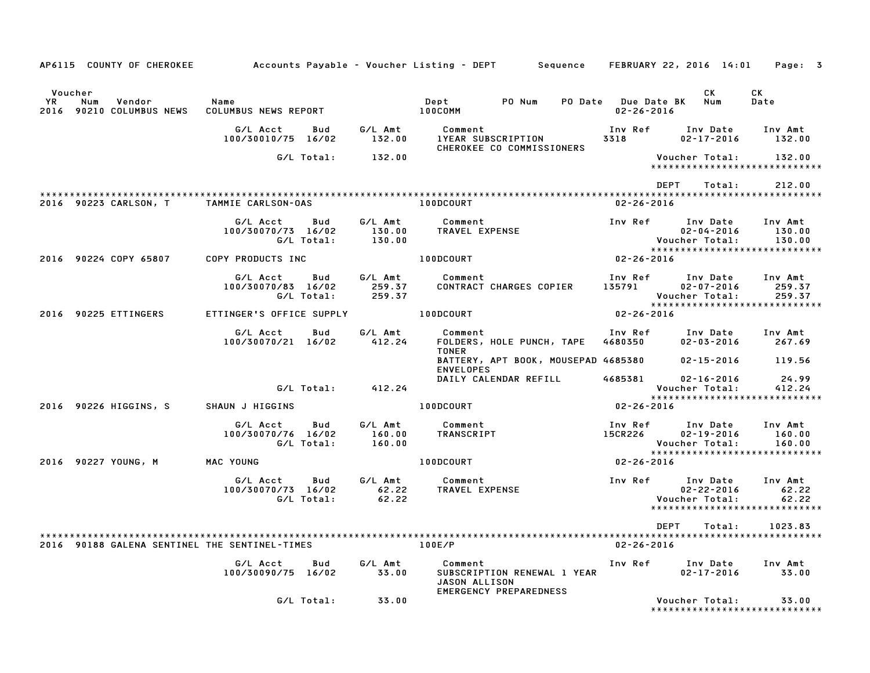| AP6115 COUNTY OF CHEROKEE                                      |                                                     |                             | Accounts Payable – Voucher Listing – DEPT         Sequence                               |                                         | FEBRUARY 22, 2016 14:01                                              | Page: 3                     |
|----------------------------------------------------------------|-----------------------------------------------------|-----------------------------|------------------------------------------------------------------------------------------|-----------------------------------------|----------------------------------------------------------------------|-----------------------------|
| Voucher<br>YR.<br>Num<br>Vendor<br>2016<br>90210 COLUMBUS NEWS | Name<br>COLUMBUS NEWS REPORT                        |                             | PO Num<br>Dept<br>100COMM                                                                | PO Date Due Date BK<br>$02 - 26 - 2016$ | СK<br>Num                                                            | СK<br>Date                  |
|                                                                | G/L Acct<br>Bud<br>100/30010/75 16/02               | G/L Amt<br>132.00           | Comment<br><b>IYEAR SUBSCRIPTION</b><br>CHEROKEE CO COMMISSIONERS                        | Inv Ref<br>3318                         | Inv Date<br>$02 - 17 - 2016$                                         | Inv Amt<br>132.00           |
|                                                                | G/L Total:                                          | 132.00                      |                                                                                          |                                         | Voucher Total:<br>*****************************                      | 132.00                      |
|                                                                |                                                     |                             |                                                                                          |                                         | <b>DEPT</b><br>Total:                                                | 212.00                      |
| 2016 90223 CARLSON, T                                          | TAMMIE CARLSON-OAS                                  |                             | 100DCOURT                                                                                | $02 - 26 - 2016$                        |                                                                      |                             |
|                                                                | G/L Acct<br>Bud<br>100/30070/73 16/02<br>G/L Total: | G/L Amt<br>130.00<br>130.00 | Comment<br>TRAVEL EXPENSE                                                                | Inv Ref                                 | Inv Date<br>$02 - 04 - 2016$<br>Voucher Total:                       | Inv Amt<br>130.00<br>130.00 |
| 2016 90224 COPY 65807                                          | COPY PRODUCTS INC                                   |                             | 100DCOURT                                                                                | $02 - 26 - 2016$                        | *****************************                                        |                             |
|                                                                |                                                     |                             |                                                                                          |                                         |                                                                      |                             |
|                                                                | G/L Acct<br>Bud<br>100/30070/83 16/02<br>G/L Total: | G/L Amt<br>259.37<br>259.37 | Comment<br>CONTRACT CHARGES COPIER                                                       | Inv Ref<br>135791                       | Inv Date<br>$02 - 07 - 2016$<br>Voucher Total:                       | Inv Amt<br>259.37<br>259.37 |
| 2016 90225 ETTINGERS                                           | ETTINGER'S OFFICE SUPPLY                            |                             | 100DCOURT                                                                                | $02 - 26 - 2016$                        | *****************************                                        |                             |
|                                                                | G/L Acct<br>Bud                                     | G/L Amt                     | Comment                                                                                  | Inv Ref                                 | Inv Date                                                             | Inv Amt                     |
|                                                                | 100/30070/21 16/02                                  | 412.24                      | FOLDERS, HOLE PUNCH, TAPE<br><b>TONER</b>                                                | 4680350                                 | $02 - 03 - 2016$                                                     | 267.69                      |
|                                                                |                                                     |                             | BATTERY, APT BOOK, MOUSEPAD 4685380<br><b>ENVELOPES</b>                                  |                                         | $02 - 15 - 2016$                                                     | 119.56                      |
|                                                                | G/L Total:                                          | 412.24                      | DAILY CALENDAR REFILL                                                                    | 4685381                                 | $02 - 16 - 2016$<br>Voucher Total:<br>****************************** | 24.99<br>412.24             |
| 2016 90226 HIGGINS, S                                          | SHAUN J HIGGINS                                     |                             | 100DCOURT                                                                                | $02 - 26 - 2016$                        |                                                                      |                             |
|                                                                | G/L Acct<br>Bud<br>100/30070/76 16/02<br>G/L Total: | G/L Amt<br>160.00<br>160.00 | Comment<br>TRANSCRIPT                                                                    | Inv Ref<br>15CR226                      | Inv Date<br>$02 - 19 - 2016$<br>Voucher Total:                       | Inv Amt<br>160.00<br>160.00 |
| 2016 90227 YOUNG, M                                            | MAC YOUNG                                           |                             | 100DCOURT                                                                                | 02-26-2016                              | *****************************                                        |                             |
|                                                                | G/L Acct<br>Bud<br>100/30070/73 16/02               | G/L Amt<br>62.22            | Comment<br>TRAVEL EXPENSE                                                                | Inv Ref                                 | Inv Date<br>$02 - 22 - 2016$                                         | Inv Amt<br>62.22            |
|                                                                | G/L Total:                                          | 62.22                       |                                                                                          |                                         | Voucher Total:<br>*****************************                      | 62.22                       |
|                                                                |                                                     |                             |                                                                                          |                                         | DEPT<br>Total:                                                       | 1023.83                     |
|                                                                |                                                     |                             |                                                                                          |                                         |                                                                      |                             |
| 2016 90188 GALENA SENTINEL THE SENTINEL-TIMES                  |                                                     |                             | 100E/P                                                                                   | $02 - 26 - 2016$                        |                                                                      |                             |
|                                                                | G/L Acct<br>Bud<br>100/30090/75 16/02               | G/L Amt<br>33.00            | Comment<br>SUBSCRIPTION RENEWAL 1 YEAR<br>JASON ALLISON<br><b>EMERGENCY PREPAREDNESS</b> | Inv Ref                                 | Inv Date<br>$02 - 17 - 2016$                                         | Inv Amt<br>33.00            |
|                                                                | G/L Total:                                          | 33.00                       |                                                                                          |                                         | Voucher Total:<br>******************************                     | 33.00                       |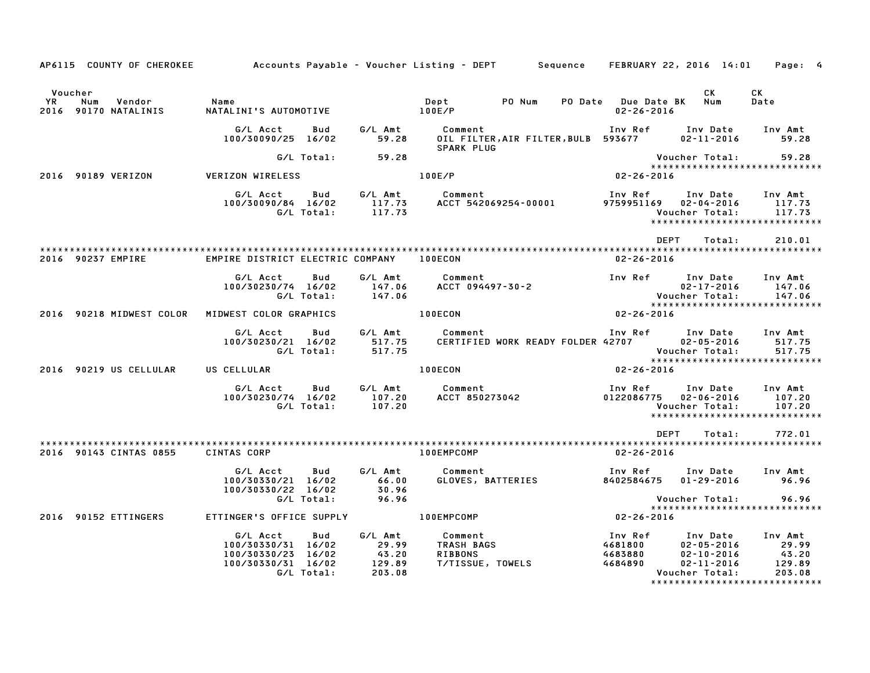|                                       |                                                                                                 |                                               | AP6115 COUNTY OF CHEROKEE Accounts Payable – Voucher Listing – DEPT Sequence FEBRUARY 22, 2016 14:01 Page: 4 |                                                     |                                                                                                                                                                          |
|---------------------------------------|-------------------------------------------------------------------------------------------------|-----------------------------------------------|--------------------------------------------------------------------------------------------------------------|-----------------------------------------------------|--------------------------------------------------------------------------------------------------------------------------------------------------------------------------|
| Voucher<br><b>YR</b><br>Num<br>Vendor | Name                                                                                            |                                               | PO Num<br>Dept                                                                                               | PO Date Due Date BK Num                             | CK<br>CK<br>Date                                                                                                                                                         |
| 2016 90170 NATALINIS                  | NATALINI'S AUTOMOTIVE                                                                           |                                               | 100E/P                                                                                                       | $02 - 26 - 2016$                                    |                                                                                                                                                                          |
|                                       | G/L Acct<br>Bud<br>100/30090/25 16/02                                                           | 59.28                                         | G/L Amt Comment<br>OIL FILTER, AIR FILTER, BULB 593677<br><b>SPARK PLUG</b>                                  |                                                     | Inv Ref Inv Date Inv Amt<br>$02 - 11 - 2016$ 59.28                                                                                                                       |
|                                       | G/L Total:                                                                                      | 59.28                                         |                                                                                                              | Voucher Total:                                      | 59.28                                                                                                                                                                    |
| 2016 90189 VERIZON                    | VERIZON WIRELESS                                                                                |                                               | 100E/P                                                                                                       | $02 - 26 - 2016$                                    | *****************************                                                                                                                                            |
|                                       | G/L Acct<br>100/30090/84 16/02 117.73<br>G/L Total: 117.73                                      |                                               | Bud G/LAmt Comment<br>ACCT 542069254-00001 9759951169 02-04-2016                                             | Voucher Total:                                      | Inv Ref      Inv Date     Inv Amt<br>117.73<br>117.73<br>*****************************                                                                                   |
|                                       |                                                                                                 |                                               |                                                                                                              | <b>DEPT</b>                                         | Total:<br>210.01                                                                                                                                                         |
| 2016 90237 EMPIRE                     | EMPIRE DISTRICT ELECTRIC COMPANY 100ECON                                                        |                                               |                                                                                                              | $02 - 26 - 2016$                                    |                                                                                                                                                                          |
|                                       | G/L Acct<br>Bud<br>100/30230/74 16/02<br>G/L Total:                                             | G/L Amt<br>147.06<br>147.06                   | Comment<br>ACCT 094497-30-2                                                                                  | Inv Ref Inv Date<br>Voucher Total:                  | Inv Amt<br>$02 - 17 - 2016$<br>147.06<br>147.06                                                                                                                          |
| 2016 90218 MIDWEST COLOR              | MIDWEST COLOR GRAPHICS                                                                          |                                               | 100ECON                                                                                                      | $02 - 26 - 2016$                                    | *****************************                                                                                                                                            |
|                                       | G/L Acct<br>Bud<br>100/30230/21 16/02<br>G/L Total:                                             | G/L Amt<br>517.75<br>517.75                   | Comment<br>CERTIFIED WORK READY FOLDER 42707 02-05-2016                                                      | Inv Ref Inv Date                                    | Inv Amt<br>517.75<br>Voucher Total:<br>517.75                                                                                                                            |
| 2016 90219 US CELLULAR                | US CELLULAR                                                                                     |                                               | 100ECON                                                                                                      | $02 - 26 - 2016$                                    | *****************************                                                                                                                                            |
|                                       | G/L Acct<br>Bud<br>100/30230/74 16/02<br>G/L Total:                                             | 107.20<br>107.20                              | G/L Amt Comment<br>ACCT 850273042                                                                            | Inv Ref<br>0122086775  02-06-2016<br>Voucher Total: | Inv Date Inv Amt<br>107.20<br>107.20<br>******************************                                                                                                   |
|                                       |                                                                                                 |                                               |                                                                                                              | <b>DEPT</b>                                         | 772.01<br>Total:                                                                                                                                                         |
| 2016 90143 CINTAS 0855                | CINTAS CORP                                                                                     |                                               | 100EMPCOMP                                                                                                   | $02 - 26 - 2016$                                    |                                                                                                                                                                          |
|                                       | G/L Acct<br>Bud<br>100/30330/21 16/02<br>100/30330/22 16/02<br>G/L Total:                       | G/L Amt<br>66.00<br>30.96<br>96.96            | Comment<br>GLOVES, BATTERIES                                                                                 | 8402584675 01-29-2016                               | Inv Ref Inv Date Inv Amt<br>96.96<br>96.96<br>Voucher Total:                                                                                                             |
|                                       |                                                                                                 |                                               |                                                                                                              |                                                     | ******************************                                                                                                                                           |
| 2016 90152 ETTINGERS                  | ETTINGER'S OFFICE SUPPLY                                                                        |                                               | $02 - 26 - 2016$<br>100EMPCOMP                                                                               |                                                     |                                                                                                                                                                          |
|                                       | G/L Acct<br>Bud<br>100/30330/31 16/02<br>100/30330/23 16/02<br>100/30330/31 16/02<br>G/L Total: | G/L Amt<br>29.99<br>43.20<br>129.89<br>203.08 | Comment<br>TRASH BAGS<br><b>RIBBONS</b><br>T/TISSUE, TOWELS                                                  | Inv Ref<br>4681800<br>4683880<br>4684890            | Inv Amt<br>Inv Date<br>$02 - 05 - 2016$<br>29.99<br>43.20<br>$02 - 10 - 2016$<br>$02 - 11 - 2016$<br>129.89<br>203.08<br>Voucher Total:<br>***************************** |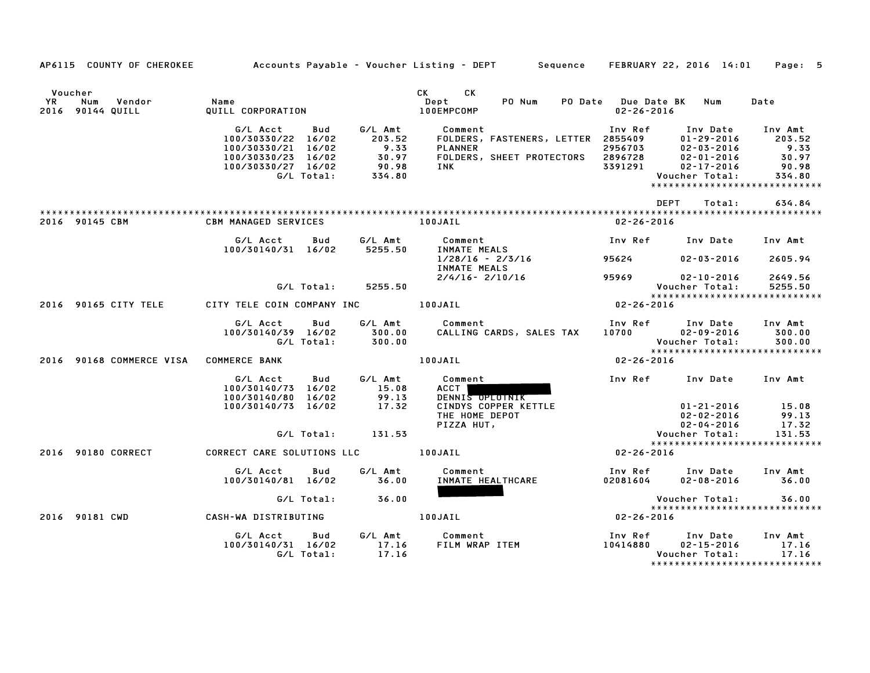|               |                                        |                                                                                                                    |                                                        | AP6115 COUNTY OF CHEROKEE Accounts Payable - Voucher Listing - DEPT Sequence FEBRUARY 22, 2016 14:01 Page: 5                                                                                                                                   |                                                                                                              |                                                |                                                            |
|---------------|----------------------------------------|--------------------------------------------------------------------------------------------------------------------|--------------------------------------------------------|------------------------------------------------------------------------------------------------------------------------------------------------------------------------------------------------------------------------------------------------|--------------------------------------------------------------------------------------------------------------|------------------------------------------------|------------------------------------------------------------|
|               |                                        |                                                                                                                    |                                                        |                                                                                                                                                                                                                                                |                                                                                                              |                                                |                                                            |
| Voucher<br>YR | Num Vendor<br>2016 90144 QUILL         | Name<br>QUTII<br>QUILL CORPORATION                                                                                 |                                                        | CK CK<br>$\mathbf{Depth}$<br>PO Num<br><b>100EMPCOMP</b>                                                                                                                                                                                       | PO Date Due Date BK Num<br>02-26-2016                                                                        |                                                | Date                                                       |
|               |                                        | G/L Acct Bud<br>100/30330/22 16/02<br>100/30330/21 16/02<br>100/30330/23 16/02<br>100/30330/27 16/02<br>G/L Total: | $9.33$<br>$30.97$<br>$90.98$<br>$334.80$               | G/L Amt           Comment<br>203.52       FOLDERS,<br>Comment<br>FOLDERS, FASTENERS, LETTER 2855409 01-29-2016 203.52<br>PLANNER 2956703 02-03-2016 9.33<br>FOLDERS, SHEET PROTECTORS 2896728 02-01-2016 30.97<br>INK 3391291 02-17-2016 90.98 |                                                                                                              | Voucher Total:                                 | 334.80<br>*****************************                    |
|               |                                        |                                                                                                                    |                                                        |                                                                                                                                                                                                                                                | DEPT                                                                                                         | Total:                                         | 634.84                                                     |
|               | 2016 90145 CBM                         | <b>CBM MANAGED SERVICES</b>                                                                                        |                                                        | 100JAIL                                                                                                                                                                                                                                        | 02-26-2016                                                                                                   |                                                |                                                            |
|               |                                        | G/L Acct<br><b>Bud</b><br>100/30140/31 16/02 5255.50                                                               | G/L Amt                                                | Comment<br>INMATE MEALS<br>1/28/1/                                                                                                                                                                                                             | Inv Ref      Inv Date     Inv Amt                                                                            |                                                |                                                            |
|               |                                        |                                                                                                                    |                                                        | $1/28/16 - 2/3/16$<br>INMATE MEALS                                                                                                                                                                                                             | 95624                                                                                                        | 02-03-2016 2605.94                             |                                                            |
|               |                                        |                                                                                                                    | G/L Total: 5255.50                                     | $2/4/16 - 2/10/16$                                                                                                                                                                                                                             | 95969 02-10-2016                                                                                             |                                                | 2649.56<br>5255.50                                         |
|               | 2016 90165 CITY TELE                   | CITY TELE COIN COMPANY INC <b>100JAIL</b>                                                                          |                                                        | . Voucher Total<br>****************<br>02-26-2016                                                                                                                                                                                              |                                                                                                              |                                                | *****************************                              |
|               |                                        | G/L Acct<br>Bud<br>100/30140/39 16/02                                                                              |                                                        | G/L Amt Comment<br>CALLING CARDS, SALES TAX                                                                                                                                                                                                    | Inv Ref Inv Date Inv Amt<br>$10700$ $02-09-2016$<br>Voucher Total: 300.00<br>******************************* |                                                | 300.00                                                     |
|               | 2016 90168 COMMERCE VISA COMMERCE BANK |                                                                                                                    |                                                        | 100JAIL                                                                                                                                                                                                                                        |                                                                                                              |                                                |                                                            |
|               |                                        | G/L Acct Bud<br>100/30140/73 16/02<br>100/30140/80 16/02<br>100/30140/73 16/02                                     | $\begin{array}{r} 15.08 \\ 99.13 \\ 17.32 \end{array}$ | G/L Amt Comment<br>ACCT<br>DENNI <del>S OPLOTNIK</del>                                                                                                                                                                                         | Inv Ref Inv Date Inv Amt                                                                                     | $01 - 21 - 2016$ 15.08<br>02-02-2016           | 99.13                                                      |
|               |                                        |                                                                                                                    | G/L Total: 131.53                                      | <b>CINDYS COPPER KETTLE<br/>THE HOME DEPOT<br/>PIZZA HUT,</b>                                                                                                                                                                                  |                                                                                                              | 02-04-2016<br>Voucher Total:                   | 17.32<br>131.53                                            |
|               | 2016 90180 CORRECT                     | CORRECT CARE SOLUTIONS LLC [100JAIL                                                                                |                                                        |                                                                                                                                                                                                                                                | $02 - 26 - 2016$                                                                                             |                                                | *****************************                              |
|               |                                        | G/L Acct<br>Bud<br>100/30140/81 16/02                                                                              | 36.00                                                  | G/L Amt Comment<br>36.00 INMATE HE<br>INMATE HEALTHCARE                                                                                                                                                                                        | Inv Ref Inv Date<br>02081604                                                                                 | $02 - 08 - 2016$ 36.00                         | Inv Amt                                                    |
|               |                                        | G/L Total:                                                                                                         | 36.00                                                  |                                                                                                                                                                                                                                                | Voucher Total:                                                                                               |                                                | 36.00                                                      |
|               | 2016 90181 CWD                         | CASH-WA DISTRIBUTING <b>The CASH-WA</b> DISTRIBUTING                                                               |                                                        |                                                                                                                                                                                                                                                | $02 - 26 - 2016$                                                                                             |                                                | *****************************                              |
|               |                                        | G/L Acct<br>Bud<br>100/30140/31 16/02<br>G/L Total:                                                                | 17.16<br>17.16                                         | G/L Amt Comment                                                                                                                                                                                                                                |                                                                                                              | Inv Date<br>$02 - 15 - 2016$<br>Voucher Total: | Inv Amt<br>17.16<br>17.16<br>***************************** |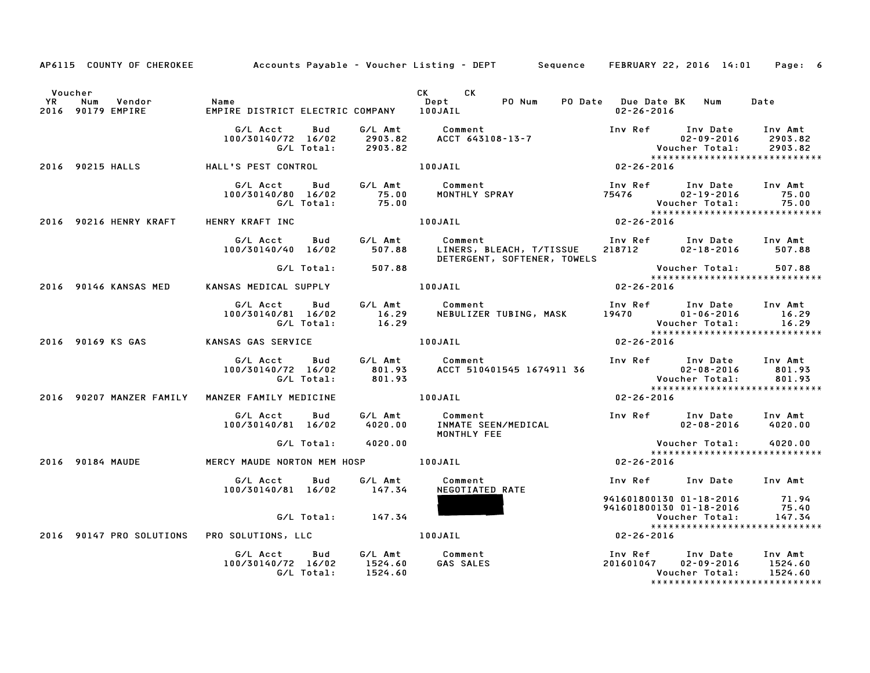|           | AP6115 COUNTY OF CHEROKEE Accounts Payable - Voucher Listing - DEPT Sequence FEBRUARY 22, 2016 14:01 Page: 6 |                                                                                                                                                                            |                   |                       |                                                                                   |                                                                                                                                                                               |                  |                                                                                                     |                          |  |
|-----------|--------------------------------------------------------------------------------------------------------------|----------------------------------------------------------------------------------------------------------------------------------------------------------------------------|-------------------|-----------------------|-----------------------------------------------------------------------------------|-------------------------------------------------------------------------------------------------------------------------------------------------------------------------------|------------------|-----------------------------------------------------------------------------------------------------|--------------------------|--|
| <b>YR</b> | Voucher<br>Num<br>Vendor<br>2016 90179 EMPIRE                                                                | Name<br>EMPIRE DISTRICT ELECTRIC COMPANY 100JAIL                                                                                                                           |                   |                       | CK CK<br>Dept<br>1 A A J A T I                                                    | PO Num                                                                                                                                                                        | $02 - 26 - 2016$ | PO Date Due Date BK Num                                                                             | Date                     |  |
|           |                                                                                                              |                                                                                                                                                                            | G/L Total:        | 2903.82               | G/L Acct  Bud  G/L Amt  Comment<br>100/30140/72 16/02  2903.82  ACCT  643108-13-7 |                                                                                                                                                                               |                  | Inv Ref Inv Date Inv Amt<br>$02 - 09 - 2016$                                                        | 2903.82                  |  |
|           | 2016 90215 HALLS           HALL'S PEST CONTROL                 100JAIL                                       |                                                                                                                                                                            |                   |                       |                                                                                   | $02 - 26 - 2016$                                                                                                                                                              |                  |                                                                                                     |                          |  |
|           |                                                                                                              |                                                                                                                                                                            |                   |                       | G/L Acct      Bud      G/L Amt        Comment                                     |                                                                                                                                                                               |                  | Inv Ref Inv Date Inv Amt                                                                            |                          |  |
|           | 2016 90216 HENRY KRAFT                                                                                       | HENRY KRAFT INC                                                                                                                                                            |                   |                       | 100JAIL                                                                           |                                                                                                                                                                               | $02 - 26 - 2016$ |                                                                                                     |                          |  |
|           |                                                                                                              | G/L Acct<br>100/30140/40 16/02                                                                                                                                             |                   | 507.88                | Bud G/L Amt Comment                                                               | Comment                                 Inv Ref      Inv Date    Inv Amt<br>LINERS, BLEACH, T/TISSUE     218712        02-18-2016       507.88<br>DETERGENT, SOFTENER, TOWELS |                  |                                                                                                     |                          |  |
|           |                                                                                                              |                                                                                                                                                                            |                   | G/L Total: 507.88     |                                                                                   |                                                                                                                                                                               |                  | Voucher Total: 507.88<br>****************************                                               |                          |  |
|           | 2016 90146 KANSAS MED                                                                                        | KANSAS MEDICAL SUPPLY 100JAIL                                                                                                                                              |                   |                       |                                                                                   |                                                                                                                                                                               | $02 - 26 - 2016$ |                                                                                                     |                          |  |
|           |                                                                                                              | G/L Acct Bud<br>100/30140/81 16/02                                                                                                                                         | G/L Total:        |                       |                                                                                   |                                                                                                                                                                               |                  |                                                                                                     |                          |  |
|           | 2016 90169 KS GAS             KANSAS GAS SERVICE                       100JAIL                               |                                                                                                                                                                            |                   |                       |                                                                                   |                                                                                                                                                                               | $02 - 26 - 2016$ |                                                                                                     |                          |  |
|           |                                                                                                              | 6/L Acct Bud G/L Amt Comment<br>100/30140/72 16/02 801.93 ACCT 510401545 1674911 36 02-08-2016 801.93<br>6/L Total: 801.93 ACCT 510401545 1674911 36 Voucher Total: 801.93 |                   |                       | G/L Acct Bud G/L Amt Comment                                                      |                                                                                                                                                                               |                  | Inv Ref Inv Date Inv Amt                                                                            |                          |  |
|           | 2016 90207 MANZER FAMILY  MANZER FAMILY MEDICINE   100JAIL                                                   |                                                                                                                                                                            |                   |                       |                                                                                   |                                                                                                                                                                               | $02 - 26 - 2016$ |                                                                                                     |                          |  |
|           |                                                                                                              | 100/30140/81 16/02 4020.00                                                                                                                                                 |                   |                       | G/L Acct      Bud      G/L Amt        Comment                                     | Comment<br>INMATE SEEN/MEDICAL<br>MONTHLY FEE                                                                                                                                 |                  | Inv Ref Inv Date Inv Amt                                                                            | $02 - 08 - 2016$ 4020.00 |  |
|           |                                                                                                              |                                                                                                                                                                            |                   | G/L Total: 4020.00    |                                                                                   |                                                                                                                                                                               |                  | <b>Voucher Total:</b>                                                                               | 4020.00                  |  |
|           | 2016 90184 MAUDE                                                                                             | MERCY MAUDE NORTON MEM HOSP 100JAIL                                                                                                                                        |                   |                       |                                                                                   | $02 - 26 - 2016$                                                                                                                                                              |                  | *****************************                                                                       |                          |  |
|           |                                                                                                              | G/L Acct Bud<br>100/30140/81 16/02 147.34                                                                                                                                  |                   |                       | G/L Amt Comment<br>NEGOTIATED RATE                                                |                                                                                                                                                                               |                  | Inv Ref Inv Date Inv Amt                                                                            |                          |  |
|           |                                                                                                              |                                                                                                                                                                            |                   | $G/L$ Total: $147.34$ |                                                                                   |                                                                                                                                                                               |                  | 941601800130 01-10 1<br>941601800130 01-18-2016 75.40<br>147.34 147.34                              |                          |  |
|           | 2016 90147 PRO SOLUTIONS PRO SOLUTIONS, LLC 100JAIL                                                          |                                                                                                                                                                            |                   |                       |                                                                                   |                                                                                                                                                                               | $02 - 26 - 2016$ | *****************************                                                                       |                          |  |
|           |                                                                                                              | G/L Acct<br>100/30140/72 16/02 1524.60                                                                                                                                     | Bud<br>G/L Total: | 1524.60               | G/L Amt Comment<br><b>GAS SALES</b>                                               |                                                                                                                                                                               |                  | Inv Ref Inv Date Inv Amt<br>201601047 02-09-2016<br>Voucher Total:<br>***************************** | 1524.60<br>1524.60       |  |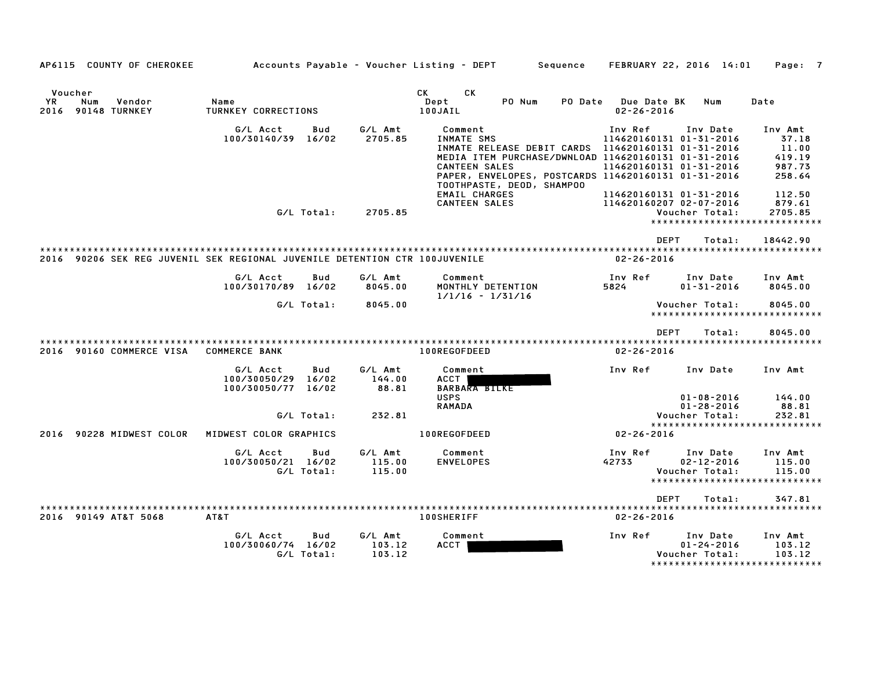| AP6115 COUNTY OF CHEROKEE                                                  |                                                                   |                             | Accounts Payable - Voucher Listing - DEPT<br>Sequence                                                                                                                                                            | FEBRUARY 22, 2016 14:01                                                                  |                                                                    | Page: 7                                                           |
|----------------------------------------------------------------------------|-------------------------------------------------------------------|-----------------------------|------------------------------------------------------------------------------------------------------------------------------------------------------------------------------------------------------------------|------------------------------------------------------------------------------------------|--------------------------------------------------------------------|-------------------------------------------------------------------|
| Voucher<br>YR<br>Num<br>Vendor<br>90148 TURNKEY<br>2016                    | Name<br>TURNKEY CORRECTIONS                                       |                             | CK<br>CК<br>PO Num<br>Dept<br>PO Date<br>100JAIL                                                                                                                                                                 | Due Date BK<br>$02 - 26 - 2016$                                                          | Num                                                                | Date                                                              |
|                                                                            | G/L Acct<br>Bud<br>100/30140/39<br>16/02                          | G/L Amt<br>2705.85          | Comment<br>INMATE SMS<br>MEDIA ITEM PURCHASE/DWNLOAD 114620160131 01-31-2016<br><b>CANTEEN SALES</b><br>PAPER, ENVELOPES, POSTCARDS 114620160131 01-31-2016<br>TOOTHPASTE, DEOD, SHAMPOO<br><b>EMAIL CHARGES</b> | Inv Ref<br>114620160131 01-31-2016<br>114620160131 01-31-2016<br>114620160131 01-31-2016 | Inv Date                                                           | Inv Amt<br>37.18<br>11.00<br>419.19<br>987.73<br>258.64<br>112.50 |
|                                                                            | G/L Total:                                                        | 2705.85                     | <b>CANTEEN SALES</b>                                                                                                                                                                                             | 114620160207 02-07-2016                                                                  | Voucher Total:                                                     | 879.61<br>2705.85<br>*****************************                |
| 2016 90206 SEK REG JUVENIL SEK REGIONAL JUVENILE DETENTION CTR 100JUVENILE |                                                                   |                             |                                                                                                                                                                                                                  | <b>DEPT</b><br>$02 - 26 - 2016$                                                          | Total:                                                             | 18442.90                                                          |
|                                                                            | G/L Acct<br>Bud<br>100/30170/89<br>16/02                          | G/L Amt<br>8045.00          | Comment<br>MONTHLY DETENTION<br>$1/1/16 - 1/31/16$                                                                                                                                                               | Inv Ref<br>5824                                                                          | Inv Date<br>$01 - 31 - 2016$                                       | Inv Amt<br>8045.00                                                |
|                                                                            | G/L Total:                                                        | 8045.00                     |                                                                                                                                                                                                                  |                                                                                          | Voucher Total:                                                     | 8045.00<br>*****************************                          |
|                                                                            |                                                                   |                             |                                                                                                                                                                                                                  | <b>DEPT</b><br>**************************************                                    | Total:                                                             | 8045.00                                                           |
| 90160 COMMERCE VISA<br>2016                                                | <b>COMMERCE BANK</b>                                              |                             | 100REGOFDEED                                                                                                                                                                                                     | $02 - 26 - 2016$                                                                         |                                                                    |                                                                   |
|                                                                            | G/L Acct<br>Bud<br>100/30050/29<br>16/02<br>100/30050/77<br>16/02 | G/L Amt<br>144.00<br>88.81  | Comment<br>ACCT<br><b>BARBARA BILKE</b><br><b>USPS</b>                                                                                                                                                           | Inv Ref                                                                                  | Inv Date<br>$01 - 08 - 2016$                                       | Inv Amt<br>144.00                                                 |
|                                                                            | G/L Total:                                                        | 232.81                      | <b>RAMADA</b>                                                                                                                                                                                                    |                                                                                          | $01 - 28 - 2016$<br>Voucher Total:                                 | 88.81<br>232.81                                                   |
| 90228 MIDWEST COLOR<br>2016                                                | MIDWEST COLOR GRAPHICS                                            |                             | 100REGOFDEED                                                                                                                                                                                                     | $02 - 26 - 2016$                                                                         |                                                                    | *****************************                                     |
|                                                                            | G/L Acct<br>Bud<br>100/30050/21 16/02<br>G/L Total:               | G/L Amt<br>115.00<br>115.00 | Comment<br><b>ENVELOPES</b>                                                                                                                                                                                      | Inv Ref<br>42733                                                                         | Inv Date<br>$02 - 12 - 2016$<br>Voucher Total:                     | Inv Amt<br>115.00<br>115.00<br>*****************************      |
|                                                                            |                                                                   |                             |                                                                                                                                                                                                                  | <b>DEPT</b>                                                                              | Total:                                                             | 347.81                                                            |
| 2016 90149 AT&T 5068                                                       | AT&T                                                              |                             | <b>100SHERIFF</b>                                                                                                                                                                                                | $02 - 26 - 2016$                                                                         |                                                                    | ************************                                          |
|                                                                            | G/L Acct<br>Bud<br>100/30060/74 16/02<br>G/L Total:               | G/L Amt<br>103.12<br>103.12 | Comment<br>ACCT                                                                                                                                                                                                  | Inv Ref                                                                                  | Inv Date<br>$01 - 24 - 2016$<br>Voucher Total:<br>**************** | Inv Amt<br>103.12<br>103.12<br>* * * * * * * * * * *              |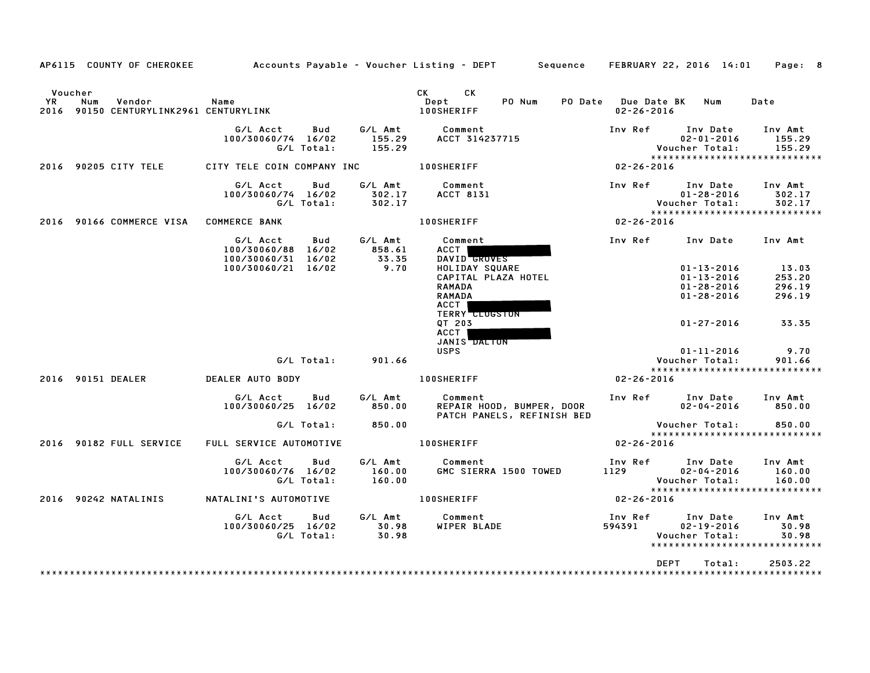| AP6115 COUNTY OF CHEROKEE                                                |                                                                    |                             | Accounts Payable – Voucher Listing – DEPT Sequence FEBRUARY 22, 2016 14:01                                      |                                                                              | Page: 8                                                      |
|--------------------------------------------------------------------------|--------------------------------------------------------------------|-----------------------------|-----------------------------------------------------------------------------------------------------------------|------------------------------------------------------------------------------|--------------------------------------------------------------|
| Voucher<br>YR<br>Num<br>Vendor<br>2016 90150 CENTURYLINK2961 CENTURYLINK | Name                                                               |                             | <b>CK</b><br>CK<br>PO Num<br>Dept<br><b>100SHERIFF</b>                                                          | PO Date Due Date BK<br>Num<br>$02 - 26 - 2016$                               | Date                                                         |
|                                                                          | G/L Acct<br>Bud<br>100/30060/74 16/02<br>G/L Total:                | G/L Amt<br>155.29<br>155.29 | Comment<br>ACCT 314237715                                                                                       | Inv Ref Inv Date<br>$02 - 01 - 2016$<br>Voucher Total:                       | Inv Amt<br>155.29<br>155.29                                  |
| 2016 90205 CITY TELE                                                     | CITY TELE COIN COMPANY INC 100SHERIFF                              |                             | $02 - 26 - 2016$                                                                                                |                                                                              | *****************************                                |
|                                                                          | G/L Acct<br>Bud<br>100/30060/74 16/02<br>G/L Total:                | G/L Amt<br>302.17<br>302.17 | Comment<br><b>ACCT 8131</b>                                                                                     | Inv Ref      Inv Date<br>$01 - 28 - 2016$<br>Voucher Total:                  | Inv Amt<br>302.17<br>302.17                                  |
| 2016 90166 COMMERCE VISA COMMERCE BANK                                   |                                                                    |                             | $02 - 26 - 2016$<br><b>100SHERIFF</b>                                                                           |                                                                              | *****************************                                |
|                                                                          | G/L Acct<br><b>Bud</b><br>100/30060/88 16/02<br>100/30060/31 16/02 | G/L Amt<br>858.61<br>33.35  | Comment<br>ACCT  <br>DAVID GROVES                                                                               | Inv Ref                                                                      | Inv Date Inv Amt                                             |
|                                                                          | 100/30060/21 16/02                                                 | 9.70                        | HOLIDAY SQUARE<br>CAPITAL PLAZA HOTEL<br><b>RAMADA</b><br><b>RAMADA</b><br><b>ACCT</b><br><b>TERRY CLUGSTON</b> | $01 - 13 - 2016$<br>$01 - 13 - 2016$<br>$01 - 28 - 2016$<br>$01 - 28 - 2016$ | 13.03<br>253.20<br>296.19<br>296.19                          |
|                                                                          |                                                                    |                             | OT 203<br><b>ACCT</b><br>JANIS DALION                                                                           | 01-27-2016                                                                   | 33.35                                                        |
|                                                                          | G/L Total: 901.66                                                  |                             | <b>USPS</b>                                                                                                     | $01 - 11 - 2016$<br>Voucher Total:                                           | 9.70<br>901.66                                               |
| 2016 90151 DEALER                                                        | <b>DEALER AUTO BODY</b>                                            |                             | <b>100SHERIFF</b>                                                                                               | $02 - 26 - 2016$                                                             | *****************************                                |
|                                                                          | G/L Acct<br><b>Bud</b><br>100/30060/25 16/02                       | G/L Amt<br>850.00           | Comment<br>REPAIR HOOD, BUMPER, DOOR<br>PATCH PANELS, REFINISH BED                                              | Inv Ref      Inv Date     Inv Amt<br>$02 - 04 - 2016$                        | 850.00                                                       |
|                                                                          | G/L Total: 850.00                                                  |                             |                                                                                                                 | Voucher Total:                                                               | 850.00<br>*****************************                      |
| 2016 90182 FULL SERVICE                                                  | FULL SERVICE AUTOMOTIVE                                            |                             | <b>100SHERIFF</b>                                                                                               | $02 - 26 - 2016$                                                             |                                                              |
|                                                                          | G/L Acct<br>Bud<br>100/30060/76 16/02<br>G/L Total:                | G/L Amt<br>160.00<br>160.00 | Comment<br>GMC SIERRA 1500 TOWED                                                                                | Inv Ref      Inv Date<br>1129<br>$02 - 04 - 2016$<br>Voucher Total:          | Inv Amt<br>160.00<br>160.00<br>***************************** |
| 2016 90242 NATALINIS                                                     | NATALINI'S AUTOMOTIVE                                              |                             | <b>100SHERIFF</b>                                                                                               | $02 - 26 - 2016$                                                             |                                                              |
|                                                                          | G/L Acct<br>Bud<br>100/30060/25 16/02<br>G/L Total:                | G⁄L Amt<br>30.98<br>30.98   | Comment<br>WIPER BLADE                                                                                          | Inv Ref<br>Inv Date<br>594391<br>$02 - 19 - 2016$<br>Voucher Total:          | Inv Amt<br>30.98<br>30.98<br>*****************************   |
|                                                                          |                                                                    |                             |                                                                                                                 | DEPT<br>Total:                                                               | 2503.22                                                      |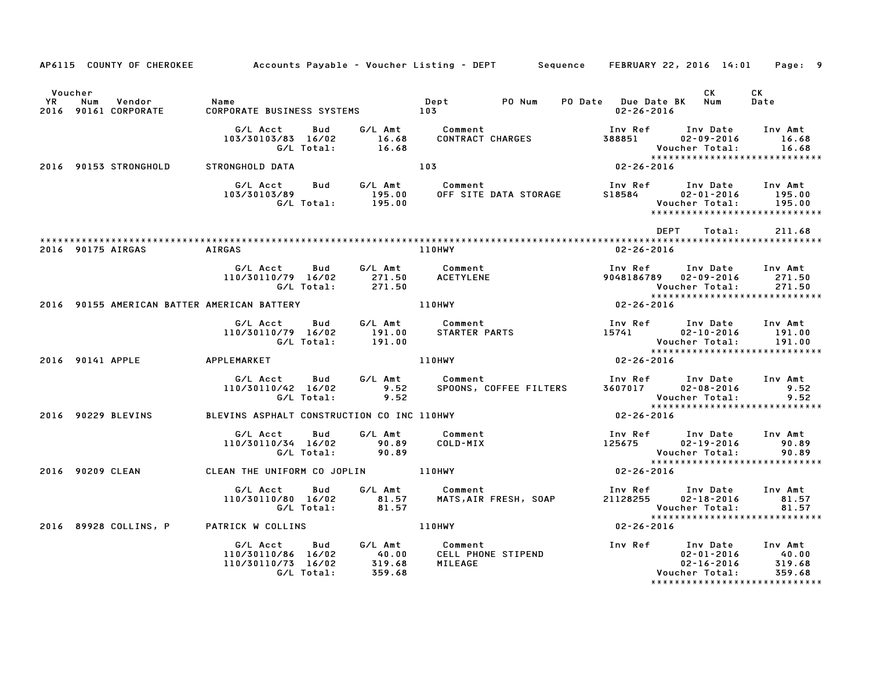|                      |                                                                                 |                                                                    |                                                     | AP6115 COUNTY OF CHEROKEE Accounts Payable - Voucher Listing - DEPT Sequence FEBRUARY 22, 2016 14:01 Page: 9 |                                                                                                                                          |                                                  |                                                                       |
|----------------------|---------------------------------------------------------------------------------|--------------------------------------------------------------------|-----------------------------------------------------|--------------------------------------------------------------------------------------------------------------|------------------------------------------------------------------------------------------------------------------------------------------|--------------------------------------------------|-----------------------------------------------------------------------|
| Voucher<br><b>YR</b> | Num<br>Vendor<br>2016 90161 CORPORATE                                           | Name<br>CORPORATE BUSINESS SYSTEMS 103                             |                                                     | PO Num<br>Dept                                                                                               | PO Date Due Date BK Num<br>$02 - 26 - 2016$                                                                                              | <b>CK</b>                                        | CK<br>Date                                                            |
|                      |                                                                                 | G/L Acct                                                           | Bud<br>103/30103/83 16/02 16.68<br>G/L Total: 16.68 | G/L Amt Comment<br>CONTRACT CHARGES                                                                          | Inv Ref      Inv Date<br>388851 02-09-2016<br>Voucher Total: 16.68<br>******************************                                     |                                                  | Inv Amt<br>16.68                                                      |
|                      | 2016 90153 STRONGHOLD                                                           | STRONGHOLD DATA                                                    |                                                     | 103                                                                                                          | $02 - 26 - 2016$                                                                                                                         |                                                  |                                                                       |
|                      |                                                                                 | G/L Acct<br>103/30103/89                                           | Bud G/L Amt Comment                                 |                                                                                                              | Inv Ref      Inv Date     Inv Amt<br>S18584                                                                                              | $02 - 01 - 2016$ 195.00<br>Voucher Total:        | 195.00<br>******************************                              |
|                      |                                                                                 |                                                                    |                                                     |                                                                                                              | DEPT                                                                                                                                     | Total:                                           | 211.68                                                                |
|                      | 2016 90175 AIRGAS                                                               | AIRGAS                                                             |                                                     | 110HWY                                                                                                       | 02-26-2016                                                                                                                               |                                                  |                                                                       |
|                      |                                                                                 | G/L Acct Bud<br>110/30110/79 16/02                                 |                                                     | G/L Amt Comment<br>110/79 16/02 271.50<br>G/L Total: 271.50 ACETYLENE                                        | Inv Ref Inv Date Inv Amt<br>9048186789 02-09-2016                                                                                        | <b>Voucher Total:</b>                            | 271.50<br>271.50                                                      |
|                      | 2016 90155 AMERICAN BATTER AMERICAN BATTERY THE RESERVE THE RESERVE THE RESERVE |                                                                    |                                                     |                                                                                                              | $02 - 26 - 2016$                                                                                                                         |                                                  |                                                                       |
|                      |                                                                                 | 110/30110/79 16/02                                                 | G/L Acct Bud G/L Amt Comment                        | سر سان سان سان Uny Ref Inv Date<br>10/79 16/02 191.00 STARTER PARTS 15741 02–10–2016<br>15741 191.00 191.00  | Inv Ref Inv Date Inv Amt                                                                                                                 |                                                  | 191.00                                                                |
|                      | 2016 90141 APPLE APPLEMARKET                                                    |                                                                    |                                                     | <b>110HWY</b>                                                                                                |                                                                                                                                          |                                                  |                                                                       |
|                      |                                                                                 | G/L Acct<br>110/30110/42 16/02<br>G/L Total:                       | <b>Bud</b><br>9.52                                  | G/L Amt        Comment<br>9.52     SPOONS, COFFEF F⊺ודדפ<br><b>Comment</b><br>SPOONS, COFFEE FILTERS         | Inv Ref      Inv Date    Inv Amt<br>3607017        02–08–2016              9.52<br>Voucher Total: 9.52<br>****************************** |                                                  | 9.52                                                                  |
|                      | 2016 90229 BLEVINS                                                              | BLEVINS ASPHALT CONSTRUCTION CO INC 110HWY                         |                                                     |                                                                                                              | $02 - 26 - 2016$                                                                                                                         |                                                  |                                                                       |
|                      |                                                                                 | G/L Acct<br>110/30110/34 16/02<br>G/L Total:                       | G/L Amt<br>Bud<br>90.89<br>90.89                    | Comment<br>COLD-MIX                                                                                          | Inv Ref Inv Date Inv Amt<br>$125675$ $02-19-2016$                                                                                        |                                                  | 90.89                                                                 |
|                      | 2016 90209 CLEAN                                                                | CLEAN THE UNIFORM CO JOPLIN 110HWY                                 |                                                     |                                                                                                              | $02 - 26 - 2016$                                                                                                                         |                                                  |                                                                       |
|                      |                                                                                 | G/L Acct<br>110/30110/80 16/02<br>G/L Total:                       | Bud<br>81.57<br>81.57                               | G/L Amt Comment<br><b>COMMENT</b><br>MATS,AIR FRESH, SOAP                                                    | Inv Ref      Inv Date<br>21128255<br>Voucher Total:                                                                                      | $02 - 18 - 2016$                                 | Inv Amt<br>81.57<br>81.57<br>*****************************            |
|                      | 2016 89928 COLLINS, P                                                           | PATRICK W COLLINS                                                  |                                                     | 110HWY                                                                                                       | $02 - 26 - 2016$                                                                                                                         |                                                  |                                                                       |
|                      |                                                                                 | G/L Acct<br>110/30110/86 16/02<br>110/30110/73 16/02<br>G/L Total: | Bud<br>319.68<br>359.68                             | CELL PHONE STIPEND<br>MILEAGE                                                                                | Inv Ref Inv Date                                                                                                                         | $02 - 01 - 2016$<br>02-16-2016<br>Voucher Total: | Inv Amt<br>40.00<br>319.68<br>359.68<br>***************************** |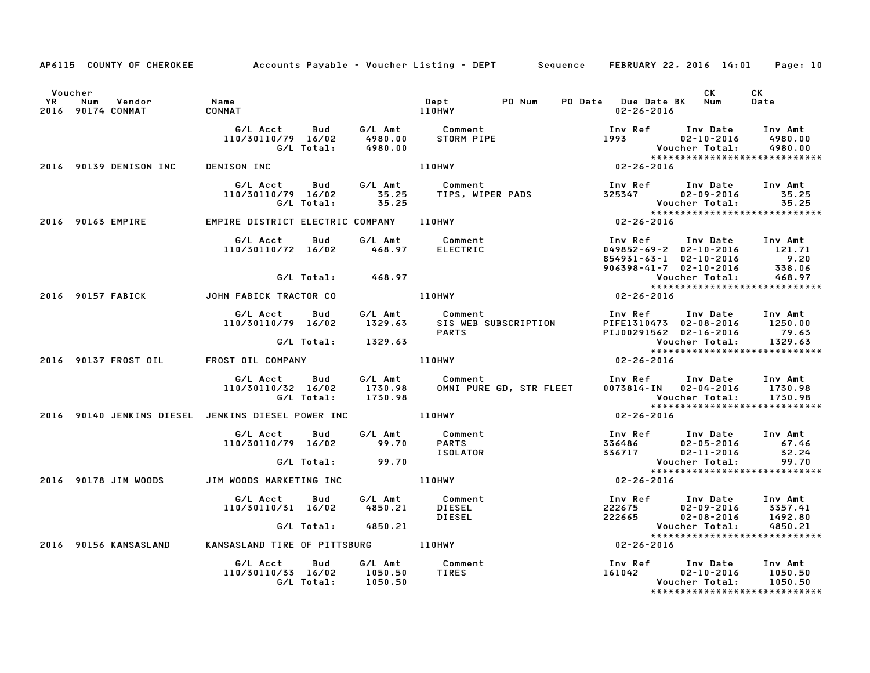|                      |                                    |                                                                                           |                    | AP6115 COUNTY OF CHEROKEE Accounts Payable – Voucher Listing – DEPT Sequence FEBRUARY 22, 2016 14:01 Page: 10 |                                                                                                                                                    |                                           |
|----------------------|------------------------------------|-------------------------------------------------------------------------------------------|--------------------|---------------------------------------------------------------------------------------------------------------|----------------------------------------------------------------------------------------------------------------------------------------------------|-------------------------------------------|
| Voucher<br><b>YR</b> | Vendor<br>Num<br>2016 90174 CONMAT | Name<br>CONMAT                                                                            | 110HWY             | PO Num<br>$\mathbf{Depth}$                                                                                    | CK<br>PO Date Due Date BK Num<br>$02 - 26 - 2016$                                                                                                  | CK<br>Date                                |
|                      |                                    | G/L Total:                                                                                | 4980.00            |                                                                                                               | Inv Ref Inv Date Inv Amt<br>1993 02-10-2016                                                                                                        | 4980.00                                   |
|                      | 2016 90139 DENISON INC             | <b>DENISON INC</b>                                                                        |                    | 110HWY                                                                                                        |                                                                                                                                                    |                                           |
|                      |                                    | G/L Acct Bud<br>110/30110/79 16/02<br>G/L Total:                                          | 35.25              |                                                                                                               | Voucher Total: 35.25<br>Vouc<br>* * * *<br>16 2 2 2 2 2 0 0 0 0 1 2                                                                                | *****************************             |
|                      | 2016 90163 EMPIRE                  | EMPIRE DISTRICT ELECTRIC COMPANY 110HWY                                                   |                    |                                                                                                               |                                                                                                                                                    |                                           |
|                      |                                    |                                                                                           |                    |                                                                                                               | 1nv Ref 1nv Date 1nv Amt<br>049852-69-2 02-10-2016 121.71<br>854931-63-1 02-10-2016 9.20<br>906398-41-7 02-10-2016 338.06<br>Voucher Total: 468.97 |                                           |
|                      |                                    | G/L Total:                                                                                | 468.97             |                                                                                                               |                                                                                                                                                    |                                           |
|                      |                                    | 2016 90157 FABICK JOHN FABICK TRACTOR CO                                                  |                    | 110HWY                                                                                                        | $02 - 26 - 2016$                                                                                                                                   |                                           |
|                      |                                    | G/L Acct<br>Bud<br>110/30110/79 16/02                                                     |                    | G/L Amt         Comment<br>1329.63     SIS WEB SI<br>SIS WEB SUBSCRIPTION<br>PARTS                            | Inv Ref      Inv Date    Inv Amt<br>PIFE1310473   02-08-2016       1250.00<br>Inv Ref<br>PIJ00291562 02-16-2016 79.63<br>Voucher Total: 1329.63    |                                           |
|                      |                                    |                                                                                           | G/L Total: 1329.63 |                                                                                                               |                                                                                                                                                    | ******************************            |
|                      |                                    | 2016 90137 FROST OIL FROST OIL COMPANY                                                    |                    | 110HWY                                                                                                        | $02 - 26 - 2016$                                                                                                                                   |                                           |
|                      |                                    | G/L Acct Bud G/L Amt Comment<br>110/30110/32 16/02 1730.98 OMNIPURE<br>G/L Total: 1730.98 |                    | OMNI PURE GD, STR FLEET                                                                                       | Inv Ref      Inv Date     Inv Amt<br>0073814-IN    02-04-2016      1730.98<br>Voucher Total:                                                       | 1730.98<br>****************************** |
|                      |                                    | 2016 90140 JENKINS DIESEL JENKINS DIESEL POWER INC _____________________________          |                    |                                                                                                               | $02 - 26 - 2016$                                                                                                                                   |                                           |
|                      |                                    | G/L Acct Bud<br>110/30110/79 16/02 99.70                                                  |                    | G/L Amt Comment<br><b>PARTS</b><br>ISOLATOR                                                                   | 1nv Ref        Inv Date      Inv Amt<br>336486          02–05–2016              67.46<br>336717            02–11–2016            32.24             |                                           |
|                      |                                    | G/L Total:                                                                                | 99.70              |                                                                                                               | Voucher Total:                                                                                                                                     | 99.70<br>*****************************    |
|                      | 2016 90178 JIM WOODS               | JIM WOODS MARKETING INC                                                                   |                    | 110HWY                                                                                                        | $02 - 26 - 2016$                                                                                                                                   |                                           |
|                      |                                    | G/L Acct<br>Bud<br>110/30110/31 16/02                                                     | G/L Total: 4850.21 | G/L Amt          Comment<br>4850.21        DIESEL<br>DIESEL                                                   | Voucher Total:                                                                                                                                     | 4850.21                                   |
|                      |                                    |                                                                                           |                    |                                                                                                               |                                                                                                                                                    | *****************************             |
|                      |                                    | 2016 90156 KANSASLAND KANSASLAND TIRE OF PITTSBURG 110HWY                                 |                    |                                                                                                               | $02 - 26 - 2016$                                                                                                                                   |                                           |
|                      |                                    | G/L Acct<br><b>Bud</b><br>110/30110/33 16/02 1050.50                                      | G/L Total: 1050.50 | G/L Amt Comment<br>TIRES                                                                                      | Inv Ref        Inv Date      Inv Amt<br>161042          02–10–2016      1050.50<br>Voucher Total:                                                  | 1050.50<br>*****************************  |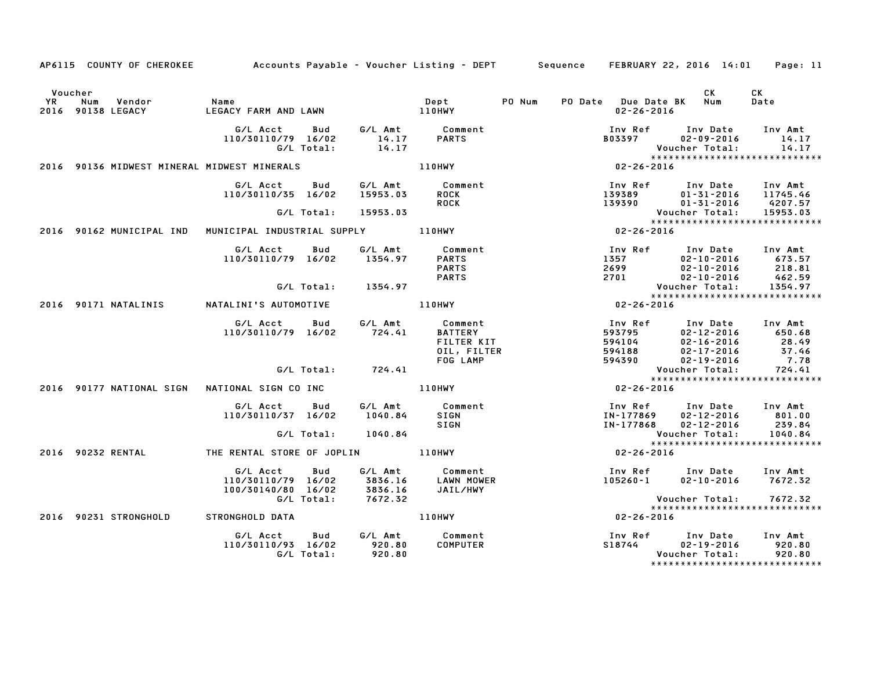|           | Voucher                                     |                                                      |                                                          |                                                                    |        |      |                                                                                     | CK                                               | СK                                                           |
|-----------|---------------------------------------------|------------------------------------------------------|----------------------------------------------------------|--------------------------------------------------------------------|--------|------|-------------------------------------------------------------------------------------|--------------------------------------------------|--------------------------------------------------------------|
| <b>YR</b> | Num<br>Vendor<br>2016 90138 LEGACY          | Name<br>LEGACY FARM AND LAWN                         |                                                          | <b>Dept</b><br><b>110HWY</b>                                       | PO Num |      | <b>PO Date</b> Due Date BK<br>$02 - 26 - 2016$                                      | Num                                              | Date                                                         |
|           |                                             | G/L Acct<br>Bud<br>110/30110/79 16/02<br>G/L Total:  | G/L Amt<br>$\begin{array}{c} 14.17 \\ 14.17 \end{array}$ | Comment<br><b>PARTS</b>                                            |        |      | Inv Ref Inv Date<br><b>B03397</b>                                                   | $02 - 09 - 2016$<br>Voucher Total:               | Inv Amt<br>14.17<br>14.17<br>*****************************   |
|           | 2016 90136 MIDWEST MINERAL MIDWEST MINERALS |                                                      |                                                          | 110HWY                                                             |        |      | $02 - 26 - 2016$                                                                    |                                                  |                                                              |
|           |                                             | G/L Acct<br>Bud<br>110/30110/35 16/02                | G/L Amt<br>15953.03                                      | Comment<br><b>ROCK</b><br><b>ROCK</b>                              |        |      | Inv Ref      Inv Date<br>139389<br>139390                                           | 01-31-2016<br>01-31-2016                         | Inv Amt<br>11745.46<br>4207.57                               |
|           |                                             | G/L Total:                                           | 15953.03                                                 |                                                                    |        |      |                                                                                     | Voucher Total:                                   | 15953.03                                                     |
|           | 2016 90162 MUNICIPAL IND                    | MUNICIPAL INDUSTRIAL SUPPLY 110HWY                   |                                                          |                                                                    |        |      | $02 - 26 - 2016$                                                                    |                                                  | *****************************                                |
|           |                                             | G/L Acct<br>Bud<br>110/30110/79 16/02                | G/L Amt<br>1354.97                                       | Comment<br><b>PARTS</b><br><b>PARTS</b><br><b>PARTS</b>            |        | 1357 | Inv Ref      Inv Date<br>-10-10-2016<br>02-10-2016<br>02-11-2016<br>2699<br>2701    |                                                  | Inv Amt<br>673.57<br>218.81<br>462.59                        |
|           |                                             | G/L Total:                                           | 1354.97                                                  |                                                                    |        |      | <b>Voucher Total:</b>                                                               |                                                  | 1354.97                                                      |
|           |                                             |                                                      |                                                          |                                                                    |        |      |                                                                                     |                                                  | *****************************                                |
|           | 2016 90171 NATALINIS                        | NATALINI'S AUTOMOTIVE                                |                                                          | 110HWY                                                             |        |      | $02 - 26 - 2016$                                                                    |                                                  |                                                              |
|           |                                             | G/L Acct<br>Bud<br>110/30110/79 16/02                | G/L Amt<br>724.41                                        | Comment<br><b>BATTERY</b><br>FILTER KIT<br>OIL, FILTER<br>FOG LAMP |        |      | Inv Ref<br>593795<br>594104<br>$594188$<br>$594390$<br>$02-17-2016$<br>$02-19-2016$ | Inv Date<br>$02 - 12 - 2016$<br>$02 - 16 - 2016$ | Inv Amt<br>650.68<br>28.49<br>37.46<br>7.78                  |
|           |                                             | G/L Total:                                           | 724.41                                                   |                                                                    |        |      |                                                                                     | Voucher Total:                                   | 724.41                                                       |
|           |                                             |                                                      |                                                          |                                                                    |        |      |                                                                                     |                                                  | *****************************                                |
|           |                                             |                                                      |                                                          | 110HWY                                                             |        |      | 02-26-2016                                                                          |                                                  |                                                              |
|           |                                             | G/L Acct<br>Bud<br>110/30110/37 16/02                | G/L Amt<br>1040.84                                       | Comment<br>SIGN<br><b>SIGN</b>                                     |        |      | Inv Ref      Inv Date     Inv Amt<br>IN-177869<br>IN-177868                         | $02 - 12 - 2016$<br>$02 - 12 - 2016$             | 801.00<br>239.84                                             |
|           |                                             | G/L Total:                                           | 1040.84                                                  |                                                                    |        |      | Voucher Total:                                                                      |                                                  | 1040.84                                                      |
|           | 2016 90232 RENTAL                           | THE RENTAL STORE OF JOPLIN 110HWY                    |                                                          |                                                                    |        |      | $02 - 26 - 2016$                                                                    |                                                  | *****************************                                |
|           |                                             | G/L Acct<br>110/30110/79 16/02<br>100/30140/80 16/02 | Bud<br>3836.16<br>3836.16                                | G/L Amt Comment<br>LAWN MOWER<br>JAIL/HWY                          |        |      | Inv Ref Inv Date<br>$105260 - 1$ $02 - 10 - 2016$                                   |                                                  | Inv Amt<br>7672.32                                           |
|           |                                             | G/L Total:                                           | 7672.32                                                  |                                                                    |        |      |                                                                                     | Voucher Total:                                   | 7672.32<br>*****************************                     |
|           | 2016 90231 STRONGHOLD                       | STRONGHOLD DATA                                      |                                                          | <b>110HWY</b>                                                      |        |      | $02 - 26 - 2016$                                                                    |                                                  |                                                              |
|           |                                             | G/L Acct<br>110/30110/93 16/02<br>G/L Total:         | G/L Amt<br>Bud<br>920.80<br>920.80                       | Comment<br><b>COMPUTER</b>                                         |        |      | Inv Ref Inv Date<br>S18744                                                          | $02 - 19 - 2016$<br>Voucher Total:               | Inv Amt<br>920.80<br>920.80<br>***************************** |

AP6115 COUNTY OF CHEROKEE Accounts Payable - Voucher Listing - DEPT Sequence FEBRUARY 22, <sup>2016</sup> 14:01 Page: <sup>11</sup>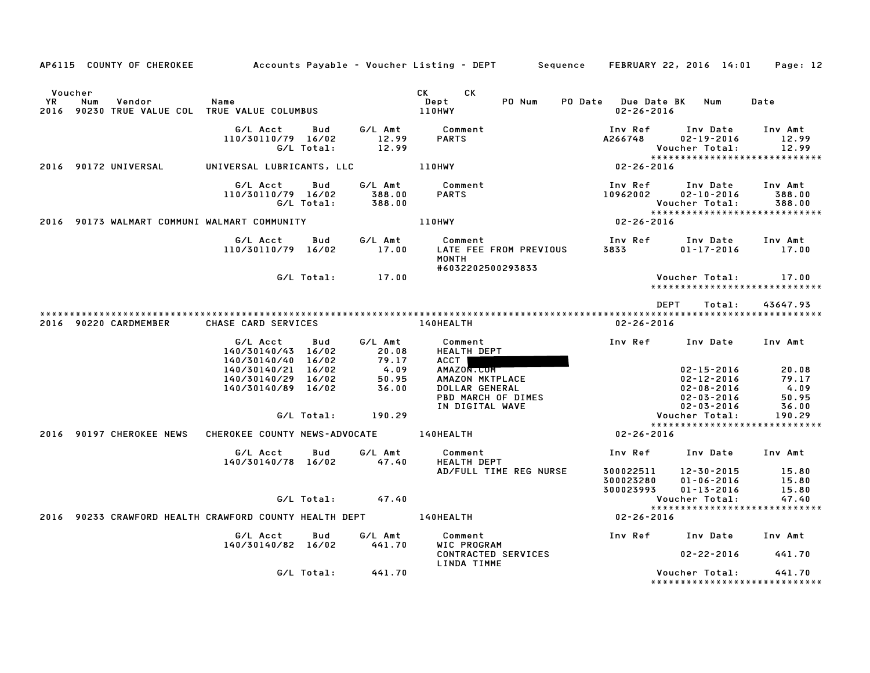| AP6115 COUNTY OF CHEROKEE                                                       | Accounts Payable – Voucher Listing – DEPT Sequence FEBRUARY 22, 2016 14:01                                             |                   |                                                               |                                                                                                                                                                                                                                                        |        |                                         |                                                                                                                          | Page: 12                                                                                       |
|---------------------------------------------------------------------------------|------------------------------------------------------------------------------------------------------------------------|-------------------|---------------------------------------------------------------|--------------------------------------------------------------------------------------------------------------------------------------------------------------------------------------------------------------------------------------------------------|--------|-----------------------------------------|--------------------------------------------------------------------------------------------------------------------------|------------------------------------------------------------------------------------------------|
| Voucher<br>YR<br>Num<br>Vendor<br>2016 90230 TRUE VALUE COL TRUE VALUE COLUMBUS | Name                                                                                                                   |                   |                                                               | CK and the set of the set of the set of the set of the set of the set of the set of the set of the set of the set of the set of the set of the set of the set of the set of the set of the set of the set of the set of the se<br>CK<br>Dept<br>110HWY | PO Num | PO Date Due Date BK<br>$02 - 26 - 2016$ | Num                                                                                                                      | Date                                                                                           |
|                                                                                 | G/L Acct<br>110/30110/79 16/02                                                                                         | Bud<br>G/L Total: | G/L Amt<br>12.99<br>12.99                                     | Comment<br><b>PARTS</b>                                                                                                                                                                                                                                |        | Inv Ref<br>A266748                      | Inv Date<br>$02 - 19 - 2016$<br>Voucher Total:                                                                           | Inv Amt<br>12.99<br>12.99                                                                      |
| 2016 90172 UNIVERSAL                                                            | UNIVERSAL LUBRICANTS, LLC                                                                                              |                   |                                                               | <b>110HWY</b>                                                                                                                                                                                                                                          |        | $02 - 26 - 2016$                        |                                                                                                                          | *****************************                                                                  |
|                                                                                 | G/L Acct<br>110/30110/79 16/02                                                                                         | Bud<br>G/L Total: | G/L Amt<br>388.00<br>388.00                                   | Comment<br><b>PARTS</b>                                                                                                                                                                                                                                |        | Inv Ref<br>10962002                     | Inv Date<br>$02 - 10 - 2016$<br>Voucher Total:                                                                           | Inv Amt<br>388.00<br>388.00<br>*****************************                                   |
| 2016 90173 WALMART COMMUNI WALMART COMMUNITY                                    |                                                                                                                        |                   |                                                               | <b>110HWY</b>                                                                                                                                                                                                                                          |        | $02 - 26 - 2016$                        |                                                                                                                          |                                                                                                |
|                                                                                 | G/L Acct<br>110/30110/79 16/02                                                                                         | Bud               | G/L Amt<br>17.00                                              | Comment<br>LATE FEE FROM PREVIOUS<br><b>MONTH</b><br>#6032202500293833                                                                                                                                                                                 |        | 3833                                    | Inv Ref      Inv Date<br>01-17-2016                                                                                      | Inv Amt<br>17.00                                                                               |
|                                                                                 |                                                                                                                        | G/L Total:        | 17.00                                                         |                                                                                                                                                                                                                                                        |        |                                         | Voucher Total:                                                                                                           | 17.00<br>******************************                                                        |
| 2016 90220 CARDMEMBER                                                           | CHASE CARD SERVICES                                                                                                    |                   |                                                               | 140HEALTH                                                                                                                                                                                                                                              |        | $02 - 26 - 2016$                        | <b>DEPT</b><br>Total:                                                                                                    | 43647.93                                                                                       |
|                                                                                 | G/L Acct<br>140/30140/43 16/02<br>140/30140/40 16/02<br>140/30140/21 16/02<br>140/30140/29 16/02<br>140/30140/89 16/02 | Bud<br>G/L Total: | G/L Amt<br>20.08<br>79.17<br>4.09<br>50.95<br>36.00<br>190.29 | Comment<br>HEALTH DEPT<br>ACCT  <br>AMAZON.COM<br>AMAZON MKTPLACE<br>DOLLAR GENERAL<br>PBD MARCH OF DIMES<br>IN DIGITAL WAVE                                                                                                                           |        | Inv Ref                                 | Inv Date<br>$02 - 15 - 2016$<br>02-12-2016<br>$02 - 08 - 2016$<br>$02 - 03 - 2016$<br>$02 - 03 - 2016$<br>Voucher Total: | Inv Amt<br>20.08<br>79.17<br>4.09<br>50.95<br>36.00<br>190.29<br>***************************** |
| 2016 90197 CHEROKEE NEWS                                                        | CHEROKEE COUNTY NEWS-ADVOCATE                                                                                          |                   |                                                               | 140HEALTH                                                                                                                                                                                                                                              |        | 02-26-2016                              |                                                                                                                          |                                                                                                |
|                                                                                 | G/L Acct<br>140/30140/78 16/02                                                                                         | Bud               | G/L Amt<br>47.40                                              | Comment<br><b>HEALTH DEPT</b><br>AD/FULL TIME REG NURSE                                                                                                                                                                                                |        | Inv Ref<br>300022511<br>300023280       | Inv Date<br>12-30-2015<br>$01 - 06 - 2016$                                                                               | Inv Amt<br>15.80<br>15.80                                                                      |
|                                                                                 |                                                                                                                        | G/L Total:        | 47.40                                                         |                                                                                                                                                                                                                                                        |        | 300023993                               | $01 - 13 - 2016$<br>Voucher Total:                                                                                       | 15.80<br>47.40                                                                                 |
| 2016 90233 CRAWFORD HEALTH CRAWFORD COUNTY HEALTH DEPT                          |                                                                                                                        |                   |                                                               | 140HEALTH                                                                                                                                                                                                                                              |        | $02 - 26 - 2016$                        | *****************************                                                                                            |                                                                                                |
|                                                                                 | G/L Acct<br>140/30140/82 16/02                                                                                         | Bud               | G/L Amt<br>441.70                                             | Comment<br>WIC PROGRAM                                                                                                                                                                                                                                 |        |                                         | Inv Ref Inv Date Inv Amt                                                                                                 |                                                                                                |
|                                                                                 |                                                                                                                        |                   |                                                               | <b>CONTRACTED SERVICES</b><br>LINDA TIMME                                                                                                                                                                                                              |        |                                         | $02 - 22 - 2016$                                                                                                         | 441.70                                                                                         |
|                                                                                 |                                                                                                                        | G/L Total:        | 441.70                                                        |                                                                                                                                                                                                                                                        |        |                                         | Voucher Total:                                                                                                           | 441.70<br>*****************************                                                        |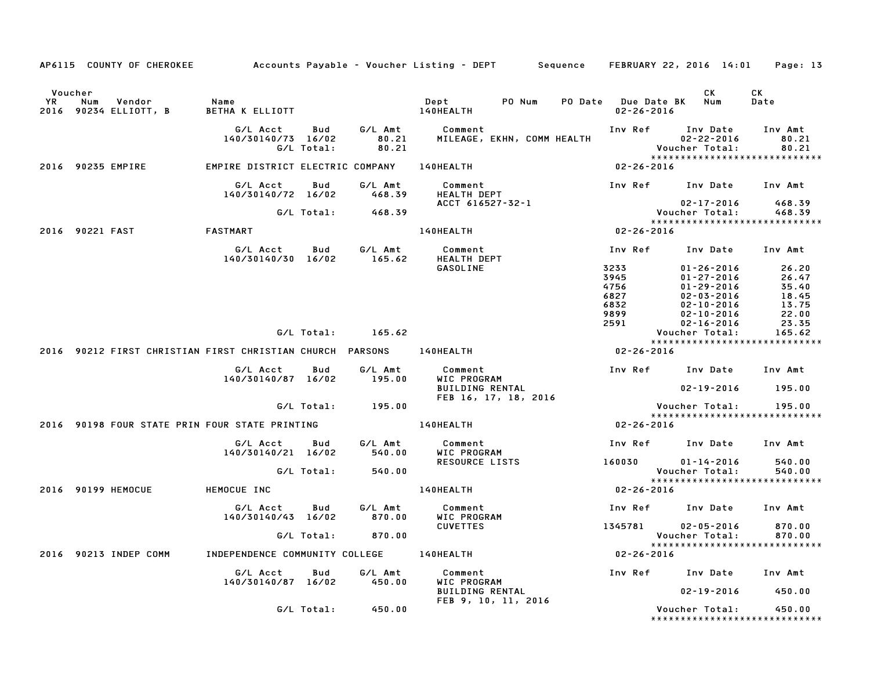|               |            | AP6115 COUNTY OF CHEROKEE       |                                                           |                                       |                             | Accounts Payable – Voucher Listing – DEPT         Sequence     FEBRUARY 22, 2016  14:01 |                                         |                                                                     | Page: 13                      |  |
|---------------|------------|---------------------------------|-----------------------------------------------------------|---------------------------------------|-----------------------------|-----------------------------------------------------------------------------------------|-----------------------------------------|---------------------------------------------------------------------|-------------------------------|--|
| Voucher<br>YR | Num        | Vendor<br>2016 90234 ELLIOTT, B | Name<br>BETHA K ELLIOTT                                   |                                       |                             | Dept<br>PO Num<br>140HEALTH                                                             | PO Date Due Date BK<br>$02 - 26 - 2016$ | CK.<br>Num                                                          | CK<br>Date                    |  |
|               |            |                                 | G/L Acct<br>140/30140/73 16/02                            | Bud<br>G/L Total:                     | G/L Amt<br>80.21<br>80.21   | Comment<br>MILEAGE, EKHN, COMM HEALTH                                                   | Inv Ref                                 | Inv Date<br>$02 - 22 - 2016$<br>Voucher Total:                      | Inv Amt<br>80.21<br>80.21     |  |
|               |            | 2016 90235 EMPIRE               | EMPIRE DISTRICT ELECTRIC COMPANY                          |                                       |                             | 140HEALTH                                                                               | 02-26-2016                              | *****************************                                       |                               |  |
|               |            |                                 | G/L Acct<br>140/30140/72 16/02                            | Bud                                   | G/L Amt<br>468.39           | Comment<br><b>HEALTH DEPT</b>                                                           | Inv Ref                                 | Inv Date                                                            | Inv Amt                       |  |
|               |            |                                 |                                                           | G/L Total:                            | 468.39                      | ACCT 616527-32-1                                                                        |                                         | $02 - 17 - 2016$<br>Voucher Total:<br>***************************** | 468.39<br>468.39              |  |
| 2016          | 90221 FAST |                                 | FASTMART                                                  |                                       |                             | 140HEALTH                                                                               | $02 - 26 - 2016$                        |                                                                     |                               |  |
|               |            |                                 | G/L Acct<br>140/30140/30 16/02                            | Bud                                   | G/L Amt<br>165.62           | Comment<br>HEALTH DEPT                                                                  | Inv Ref                                 | Inv Date                                                            | Inv Amt                       |  |
|               |            |                                 |                                                           |                                       |                             | <b>GASOLINE</b>                                                                         | 3233<br>3945<br>4756                    | $01 - 26 - 2016$<br>$01 - 27 - 2016$<br>$01 - 29 - 2016$            | 26.20<br>26.47<br>35.40       |  |
|               |            |                                 |                                                           |                                       |                             |                                                                                         | 6827<br>6832<br>9899                    | $02 - 03 - 2016$<br>$02 - 10 - 2016$<br>$02 - 10 - 2016$            | 18.45<br>13.75<br>22.00       |  |
|               |            |                                 |                                                           | G/L Total:                            | 165.62                      |                                                                                         | 2591                                    | $02 - 16 - 2016$<br>Voucher Total:                                  | 23.35<br>165.62               |  |
|               |            |                                 | 2016 90212 FIRST CHRISTIAN FIRST CHRISTIAN CHURCH PARSONS |                                       |                             | 140HEALTH                                                                               | $02 - 26 - 2016$                        | *****************************                                       |                               |  |
|               |            |                                 | G/L Acct<br>140/30140/87 16/02                            | Bud                                   | G/L Amt<br>195.00           | Comment<br>WIC PROGRAM                                                                  |                                         | Inv Ref Inv Date                                                    | Inv Amt                       |  |
|               |            |                                 |                                                           | G/L Total:                            | 195.00                      | <b>BUILDING RENTAL</b><br>FEB 16, 17, 18, 2016                                          |                                         | $02 - 19 - 2016$<br>Voucher Total:                                  | 195.00<br>195.00              |  |
|               |            |                                 | 2016 90198 FOUR STATE PRIN FOUR STATE PRINTING            |                                       |                             | 140HEALTH                                                                               | $02 - 26 - 2016$                        | *****************************                                       |                               |  |
|               |            |                                 | G/L Acct                                                  | Bud                                   | G/L Amt                     | Comment                                                                                 |                                         | Inv Ref Inv Date                                                    | Inv Amt                       |  |
|               |            |                                 | 140/30140/21 16/02                                        | G/L Total:                            | 540.00<br>540.00            | WIC PROGRAM<br><b>RESOURCE LISTS</b>                                                    | 160030                                  | $01 - 14 - 2016$<br>Voucher Total:                                  | 540.00<br>540.00              |  |
|               |            | 2016 90199 HEMOCUE              | HEMOCUE INC                                               |                                       |                             | 140HEALTH                                                                               | 02-26-2016                              | *****************************                                       |                               |  |
|               |            |                                 | G/L Acct<br>140/30140/43 16/02<br>G/L Total:              | Bud                                   | G/L Amt<br>870.00<br>870.00 | Comment<br>WIC PROGRAM                                                                  | Inv Ref                                 | Inv Date                                                            | Inv Amt                       |  |
|               |            |                                 |                                                           |                                       |                             | <b>CUVETTES</b>                                                                         | 1345781                                 | $02 - 05 - 2016$<br>Voucher Total:                                  | 870.00<br>870.00              |  |
|               |            | 2016 90213 INDEP COMM           |                                                           | INDEPENDENCE COMMUNITY COLLEGE        |                             |                                                                                         | 140HEALTH                               | $02 - 26 - 2016$                                                    | ***************************** |  |
|               |            |                                 |                                                           | G/L Acct<br>Bud<br>140/30140/87 16/02 | G/L Amt<br>450.00           | Comment<br>WIC PROGRAM                                                                  | Inv Ref                                 | Inv Date                                                            | Inv Amt                       |  |
|               |            |                                 |                                                           |                                       |                             | <b>BUILDING RENTAL</b><br>FEB 9, 10, 11, 2016                                           |                                         | $02 - 19 - 2016$                                                    | 450.00                        |  |
|               |            |                                 |                                                           | G/L Total:                            | 450.00                      |                                                                                         |                                         | Voucher Total:<br>*****************************                     | 450.00                        |  |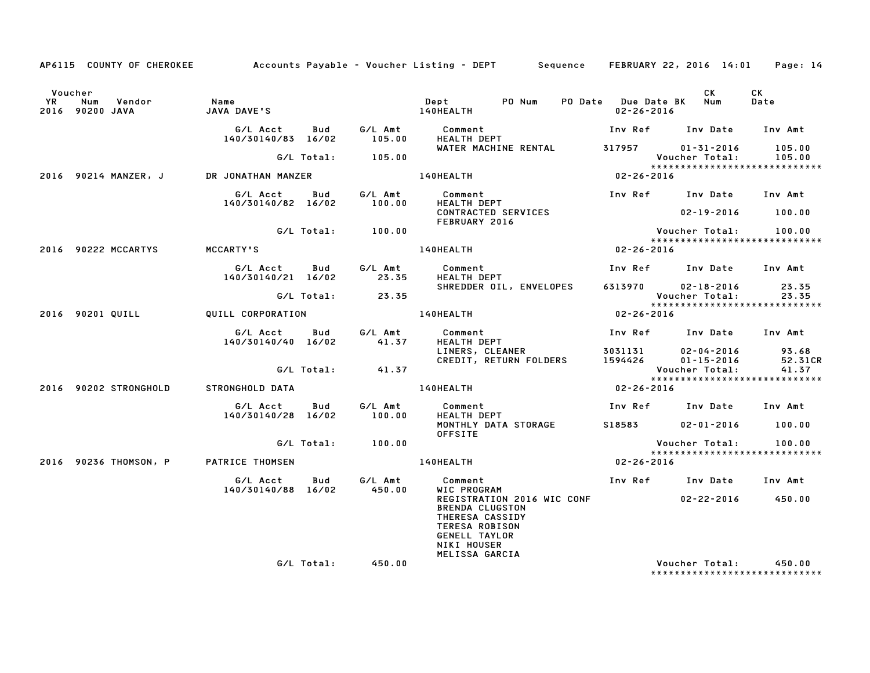|                      |                                         |                                           |     |                   | AP6115 COUNTY OF CHEROKEE Accounts Payable – Voucher Listing – DEPT Sequence FEBRUARY 22, 2016 14:01 Page: 14                                                 |                            |                                                         |            |
|----------------------|-----------------------------------------|-------------------------------------------|-----|-------------------|---------------------------------------------------------------------------------------------------------------------------------------------------------------|----------------------------|---------------------------------------------------------|------------|
| Voucher<br><b>YR</b> | Num Vendor<br>2016 90200 JAVA           | Name<br>JAVA DAVE'S 140HEALTH             |     |                   | Dept PO Num                                                                                                                                                   |                            | CK<br>PO Date Due Date BK Num<br>$02 - 26 - 2016$       | CK<br>Date |
|                      |                                         |                                           |     |                   |                                                                                                                                                               |                            | Inv Ref Inv Date Inv Amt                                |            |
|                      |                                         |                                           |     | G/L Total: 105.00 | WATER MACHINE RENTAL 317957 01-31-2016                                                                                                                        |                            | Voucher Total: 105.00                                   | 105.00     |
|                      | 2016 90214 MANZER, J DR JONATHAN MANZER |                                           |     |                   | 140HEALTH                                                                                                                                                     | Vouc<br>****<br>02-26-2016 | ******************************                          |            |
|                      |                                         |                                           |     |                   |                                                                                                                                                               |                            |                                                         |            |
|                      |                                         |                                           |     |                   | CONTRACTED SERVICES                                                                                                                                           |                            | $02 - 19 - 2016$ 100.00                                 |            |
|                      |                                         |                                           |     | G/L Total: 100.00 | FEBRUARY 2016<br>Vous<br>*****<br>02-26-2016 02-26-2016                                                                                                       |                            | Voucher Total: 100.00<br>*****************************  |            |
|                      | 2016 90222 MCCARTYS                     | <b>MCCARTY'S</b>                          |     |                   |                                                                                                                                                               |                            |                                                         |            |
|                      |                                         |                                           |     |                   | G/L Acct Bud G/L Amt Comment<br>140/30140/21 16/02 23.35 HEALTH DEPT<br>HEALTH DEPT                                                                           |                            | Inv Ref Inv Date Inv Amt                                |            |
|                      |                                         |                                           |     | G/L Total: 23.35  |                                                                                                                                                               |                            |                                                         |            |
|                      | 2016 90201 QUILL QUILL CORPORATION      |                                           |     |                   | 140HEALTH                                                                                                                                                     | $02 - 26 - 2016$           | *****************************                           |            |
|                      |                                         | G/L Acct Bud<br>140/30140/40 16/02        |     |                   | G/L Amt          Comment<br>41.37        HEALTH DEPT                                                                                                          |                            | Inv Ref Inv Date Inv Amt                                |            |
|                      |                                         |                                           |     | G/L Total: 41.37  |                                                                                                                                                               |                            |                                                         |            |
|                      |                                         |                                           |     |                   |                                                                                                                                                               |                            | Voucher Total: 41.37<br>******************************* |            |
|                      | 2016 90202 STRONGHOLD                   | STRONGHOLD DATA                           |     |                   | 140HEALTH                                                                                                                                                     | $02 - 26 - 2016$           |                                                         |            |
|                      |                                         | G/L Acct Bud<br>140/30140/28 16/02 100.00 |     |                   | G/L Amt Comment<br>100.00 HEALTH DEPT<br>HEALTH DEPT                                                                                                          |                            | Inv Ref      Inv Date     Inv Amt                       |            |
|                      |                                         |                                           |     |                   | MONTHLY DATA STORAGE<br><b>OFFSITE</b>                                                                                                                        |                            | S18583 02-01-2016 100.00                                |            |
|                      |                                         |                                           |     | G/L Total: 100.00 |                                                                                                                                                               |                            | Voucher Total: 100.00<br>*****************************  |            |
|                      |                                         |                                           |     |                   | 2016 90236 THOMSON, P PATRICE THOMSEN NO RELATE RELATE RELATION ON THE D2-26-2016                                                                             |                            |                                                         |            |
|                      |                                         | G/L Acct<br>140/30140/88 16/02 450.00     | Bud |                   | G/L Amt Comment<br>WIC PROGRAM<br>WIC PROGRAM<br>REGISTDATT                                                                                                   |                            | Inv Ref Inv Date Inv Amt                                |            |
|                      |                                         |                                           |     |                   | REGISTRATION 2016 WIC CONF 02-22-2016 450.00<br><b>BRENDA CLUGSTON</b><br>THERESA CASSIDY<br>TERESA ROBISON<br>GENELL TAYLOR<br>NIKI HOUSER<br>MELISSA GARCIA |                            |                                                         |            |
|                      |                                         |                                           |     | G/L Total: 450.00 |                                                                                                                                                               |                            | Voucher Total: 450.00<br>*****************************  |            |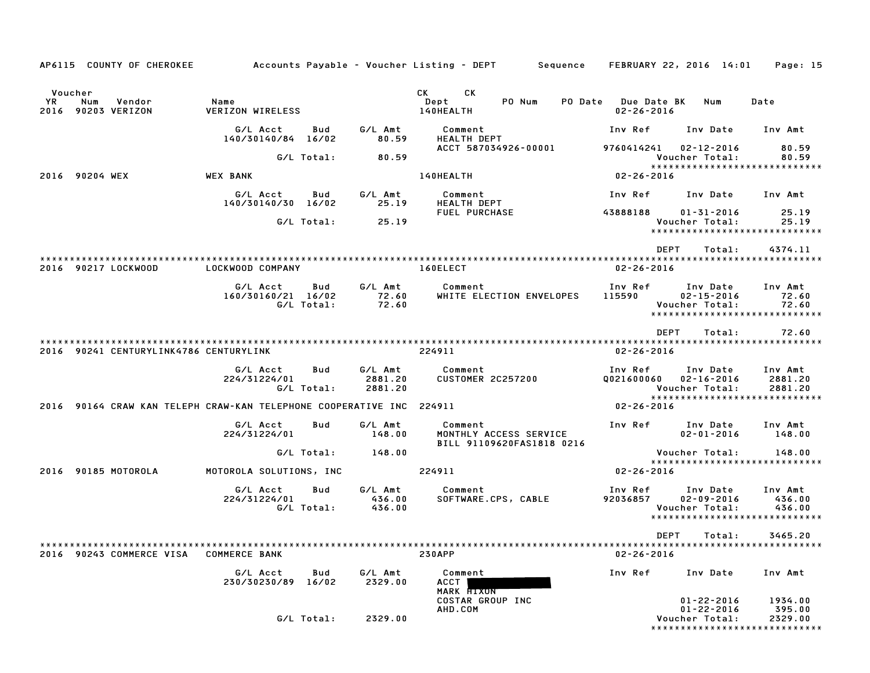| AP6115 COUNTY OF CHEROKEE                                            |                                 |                   |                               | Accounts Payable – Voucher Listing – DEPT       Sequence   FEBRUARY 22, 2016 14:01                                                                                                                                                    |                                         |                                                        | Page: 15                                                      |
|----------------------------------------------------------------------|---------------------------------|-------------------|-------------------------------|---------------------------------------------------------------------------------------------------------------------------------------------------------------------------------------------------------------------------------------|-----------------------------------------|--------------------------------------------------------|---------------------------------------------------------------|
| Voucher                                                              |                                 |                   |                               | CK.<br>CK and the set of the set of the set of the set of the set of the set of the set of the set of the set of the set of the set of the set of the set of the set of the set of the set of the set of the set of the set of the se |                                         |                                                        |                                                               |
| YR<br>Num<br>Vendor<br>2016 90203 VERIZON                            | Name<br><b>VERIZON WIRELESS</b> |                   |                               | Dept<br>PO Num<br>140HEALTH                                                                                                                                                                                                           | PO Date Due Date BK<br>$02 - 26 - 2016$ | Num                                                    | Date                                                          |
|                                                                      | G/L Acct<br>140/30140/84 16/02  | Bud               | G/L Amt<br>80.59              | Comment<br><b>HEALTH DEPT</b>                                                                                                                                                                                                         | Inv Ref                                 | Inv Date                                               | Inv Amt                                                       |
|                                                                      |                                 | G/L Total:        | 80.59                         | ACCT 587034926-00001                                                                                                                                                                                                                  | 9760414241                              | 02-12-2016<br>Voucher Total:                           | 80.59<br>80.59                                                |
| 2016 90204 WEX                                                       | <b>WEX BANK</b>                 |                   |                               | 140HEALTH                                                                                                                                                                                                                             | 02-26-2016                              |                                                        | ******************************                                |
|                                                                      | G/L Acct<br>140/30140/30 16/02  | Bud               | G/L Amt<br>25.19              | Comment<br>HEALTH DEPT                                                                                                                                                                                                                | Inv Ref                                 | Inv Date                                               | Inv Amt                                                       |
|                                                                      |                                 | G/L Total:        | 25.19                         | <b>FUEL PURCHASE</b>                                                                                                                                                                                                                  | 43888188                                | $01 - 31 - 2016$<br>Voucher Total:                     | 25.19<br>25.19                                                |
|                                                                      |                                 |                   |                               |                                                                                                                                                                                                                                       |                                         |                                                        | ******************************                                |
|                                                                      |                                 |                   |                               |                                                                                                                                                                                                                                       | <b>DEPT</b>                             | Total:                                                 | 4374.11                                                       |
| 2016 90217 LOCKWOOD                                                  | LOCKWOOD COMPANY                |                   |                               | 160ELECT                                                                                                                                                                                                                              | $02 - 26 - 2016$                        |                                                        |                                                               |
|                                                                      | G/L Acct<br>160/30160/21 16/02  | Bud<br>G/L Total: | G/L Amt<br>72.60<br>72.60     | Comment<br>WHITE ELECTION ENVELOPES                                                                                                                                                                                                   | Inv Ref Inv Date<br>115590              | $02 - 15 - 2016$<br>Voucher Total:                     | Inv Amt<br>72.60<br>72.60                                     |
|                                                                      |                                 |                   |                               |                                                                                                                                                                                                                                       |                                         |                                                        | ******************************                                |
|                                                                      |                                 |                   |                               |                                                                                                                                                                                                                                       | <b>DEPT</b>                             | Total:                                                 | 72.60                                                         |
| 2016 90241 CENTURYLINK4786 CENTURYLINK                               |                                 |                   |                               | 224911                                                                                                                                                                                                                                | $02 - 26 - 2016$                        |                                                        |                                                               |
|                                                                      | G/L Acct<br>224/31224/01        | Bud<br>G/L Total: | G/L Amt<br>2881.20<br>2881.20 | Comment<br><b>CUSTOMER 2C257200</b>                                                                                                                                                                                                   | Inv Ref<br>0021600060                   | Inv Date<br>02-16-2016<br>Voucher Total:               | Inv Amt<br>2881.20<br>2881.20                                 |
| 2016 90164 CRAW KAN TELEPH CRAW-KAN TELEPHONE COOPERATIVE INC 224911 |                                 |                   |                               |                                                                                                                                                                                                                                       | 02-26-2016                              |                                                        | *****************************                                 |
|                                                                      | G/L Acct<br>224/31224/01        | Bud               | G/L Amt<br>148.00             | Comment<br>MONTHLY ACCESS SERVICE                                                                                                                                                                                                     | Inv Ref                                 | Inv Date<br>$02 - 01 - 2016$                           | Inv Amt<br>148.00                                             |
|                                                                      |                                 | G/L Total:        | 148.00                        | BILL 91109620FAS1818 0216                                                                                                                                                                                                             |                                         | Voucher Total:                                         | 148.00                                                        |
| 2016 90185 MOTOROLA                                                  | MOTOROLA SOLUTIONS, INC         |                   |                               | 224911                                                                                                                                                                                                                                | $02 - 26 - 2016$                        |                                                        | *****************************                                 |
|                                                                      | G/L Acct<br>224/31224/01        | Bud<br>G/L Total: | G/L Amt<br>436.00<br>436.00   | Comment<br>SOFTWARE.CPS, CABLE                                                                                                                                                                                                        | Inv Ref<br>92036857                     | Inv Date<br>$02 - 09 - 2016$<br>Voucher Total:         | Inv Amt<br>436.00<br>436.00                                   |
|                                                                      |                                 |                   |                               |                                                                                                                                                                                                                                       |                                         |                                                        | *****************************                                 |
| 2016 90243 COMMERCE VISA                                             | <b>COMMERCE BANK</b>            |                   |                               | <b>230APP</b>                                                                                                                                                                                                                         | $02 - 26 - 2016$                        | DEPT Total:                                            | 3465.20                                                       |
|                                                                      | G/L Acct<br>230/30230/89 16/02  | Bud               | G/L Amt<br>2329.00            | Comment<br>ACCT<br>MARK FIXON                                                                                                                                                                                                         | Inv Ref                                 | Inv Date                                               | Inv Amt                                                       |
|                                                                      |                                 | G/L Total:        | 2329.00                       | COSTAR GROUP INC<br>AHD.COM                                                                                                                                                                                                           |                                         | $01 - 22 - 2016$<br>$01 - 22 - 2016$<br>Voucher Total: | 1934.00<br>395.00<br>2329.00<br>***************************** |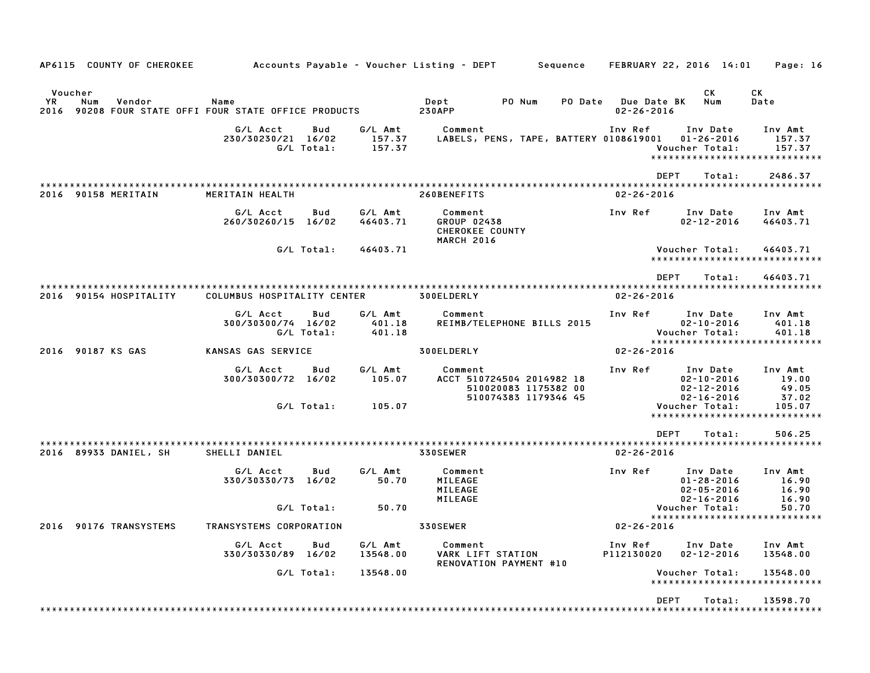| AP6115 COUNTY OF CHEROKEE              |                                                            |                             | Accounts Payable – Voucher Listing – DEPT<br>Sequence                                | FEBRUARY 22, 2016 14:01                                                                    | Page: 16                           |
|----------------------------------------|------------------------------------------------------------|-----------------------------|--------------------------------------------------------------------------------------|--------------------------------------------------------------------------------------------|------------------------------------|
| Voucher<br>YR<br>Vendor<br>Num<br>2016 | Name<br>90208 FOUR STATE OFFI FOUR STATE OFFICE PRODUCTS   |                             | PO Num<br>PO Date<br>Dept<br><b>230APP</b>                                           | СK<br>Num<br>Due Date BK<br>$02 - 26 - 2016$                                               | СK<br>Date                         |
|                                        | G/L Acct<br>Bud<br>230/30230/21 16/02<br>G/L Total:        | G/L Amt<br>157.37<br>157.37 | Comment<br>LABELS, PENS, TAPE, BATTERY 0108619001                                    | Inv Ref<br>Inv Date<br>$01 - 26 - 2016$<br>Voucher Total:<br>***************************** | Inv Amt<br>157.37<br>157.37        |
|                                        |                                                            |                             |                                                                                      | <b>DEPT</b><br>Total:                                                                      | 2486.37                            |
| 2016 90158 MERITAIN                    | MERITAIN HEALTH                                            |                             | *******************************<br>260BENEFITS                                       | $02 - 26 - 2016$                                                                           |                                    |
|                                        | G/L Acct<br>Bud<br>260/30260/15 16/02                      | G/L Amt<br>46403.71         | Comment<br>GROUP 02438<br>CHEROKEE COUNTY<br><b>MARCH 2016</b>                       | Inv Ref<br>Inv Date<br>$02 - 12 - 2016$                                                    | Inv Amt<br>46403.71                |
|                                        | G/L Total:                                                 | 46403.71                    |                                                                                      | Voucher Total:<br>*******************                                                      | 46403.71                           |
|                                        |                                                            |                             |                                                                                      | <b>DEPT</b><br>Total:                                                                      | 46403.71                           |
| 2016 90154 HOSPITALITY                 | COLUMBUS HOSPITALITY CENTER                                |                             | 300ELDERLY                                                                           | $02 - 26 - 2016$                                                                           |                                    |
|                                        | G/L Acct<br><b>Bud</b><br>300/30300/74 16/02<br>G/L Total: | G/L Amt<br>401.18<br>401.18 | Comment<br>REIMB/TELEPHONE BILLS 2015                                                | Inv Ref<br>Inv Date<br>$02 - 10 - 2016$<br>Voucher Total:                                  | Inv Amt<br>401.18<br>401.18        |
| 2016 90187 KS GAS                      | KANSAS GAS SERVICE                                         |                             | 300ELDERLY                                                                           | *****************************<br>$02 - 26 - 2016$                                          |                                    |
|                                        | G/L Acct<br>Bud<br>300/30300/72 16/02                      | G/L Amt<br>105.07           | Comment<br>ACCT 510724504 2014982 18<br>510020083 1175382 00<br>510074383 1179346 45 | Inv Ref<br>Inv Date<br>$02 - 10 - 2016$<br>$02 - 12 - 2016$<br>$02 - 16 - 2016$            | Inv Amt<br>19.00<br>49.05<br>37.02 |
|                                        | G/L Total:                                                 | 105.07                      |                                                                                      | Voucher Total:<br>*****************************                                            | 105.07                             |
|                                        |                                                            |                             |                                                                                      | <b>DEPT</b><br>Total:                                                                      | 506.25                             |
| 2016 89933 DANIEL, SH                  | SHELLI DANIEL                                              |                             | 330SEWER                                                                             | $02 - 26 - 2016$                                                                           |                                    |
|                                        | G/L Acct<br>Bud<br>330/30330/73 16/02                      | G/L Amt<br>50.70            | Comment<br>MILEAGE<br>MILEAGE<br>MILEAGE                                             | Inv Ref<br>Inv Date<br>$01 - 28 - 2016$<br>$02 - 05 - 2016$<br>$02 - 16 - 2016$            | Inv Amt<br>16.90<br>16.90<br>16.90 |
|                                        | G/L Total:                                                 | 50.70                       |                                                                                      | Voucher Total:<br>*****************************                                            | 50.70                              |
| 2016 90176 TRANSYSTEMS                 | TRANSYSTEMS CORPORATION                                    |                             | 330SEWER                                                                             | $02 - 26 - 2016$                                                                           |                                    |
|                                        | G/L Acct<br>Bud<br>330/30330/89 16/02                      | G/L Amt<br>13548.00         | Comment<br>VARK LIFT STATION<br>RENOVATION PAYMENT #10                               | Inv Ref<br>Inv Date<br>P112130020<br>$02 - 12 - 2016$                                      | Inv Amt<br>13548.00                |
|                                        | G/L Total:                                                 | 13548.00                    |                                                                                      | Voucher Total:                                                                             | 13548.00                           |
|                                        |                                                            |                             |                                                                                      | <b>DEPT</b><br>Total:                                                                      | 13598.70                           |
|                                        |                                                            |                             |                                                                                      |                                                                                            |                                    |